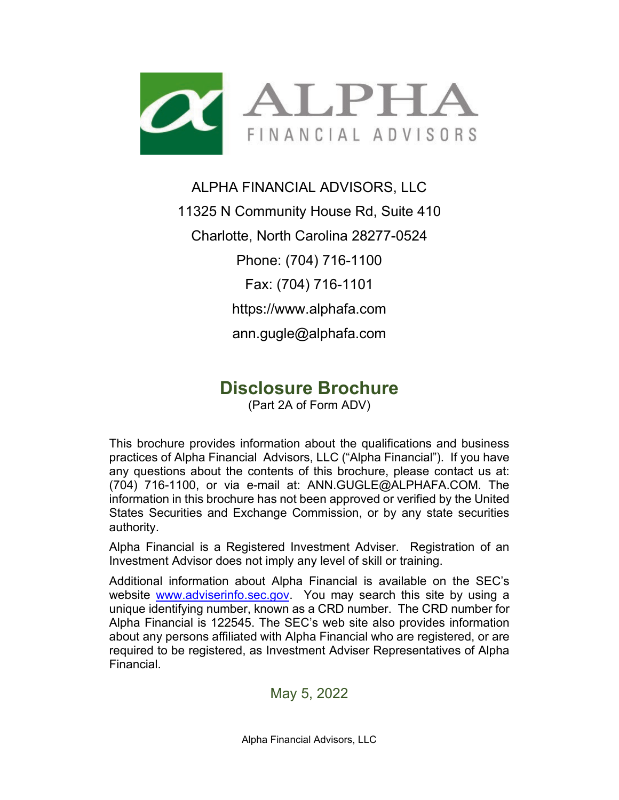

### ALPHA FINANCIAL ADVISORS, LLC

11325 N Community House Rd, Suite 410 Charlotte, North Carolina 28277-0524 Phone: (704) 716-1100 Fax: (704) 716-1101 https://www.alphafa.com ann.gugle@alphafa.com

### **Disclosure Brochure**

(Part 2A of Form ADV)

This brochure provides information about the qualifications and business practices of Alpha Financial Advisors, LLC ("Alpha Financial"). If you have any questions about the contents of this brochure, please contact us at: (704) 716-1100, or via e-mail at: ANN.GUGLE@ALPHAFA.COM. The information in this brochure has not been approved or verified by the United States Securities and Exchange Commission, or by any state securities authority.

Alpha Financial is a Registered Investment Adviser. Registration of an Investment Advisor does not imply any level of skill or training.

Additional information about Alpha Financial is available on the SEC's website [www.adviserinfo.sec.gov.](http://www.adviserinfo.sec.gov/) You may search this site by using a unique identifying number, known as a CRD number. The CRD number for Alpha Financial is 122545. The SEC's web site also provides information about any persons affiliated with Alpha Financial who are registered, or are required to be registered, as Investment Adviser Representatives of Alpha Financial.

May 5, 2022

Alpha Financial Advisors, LLC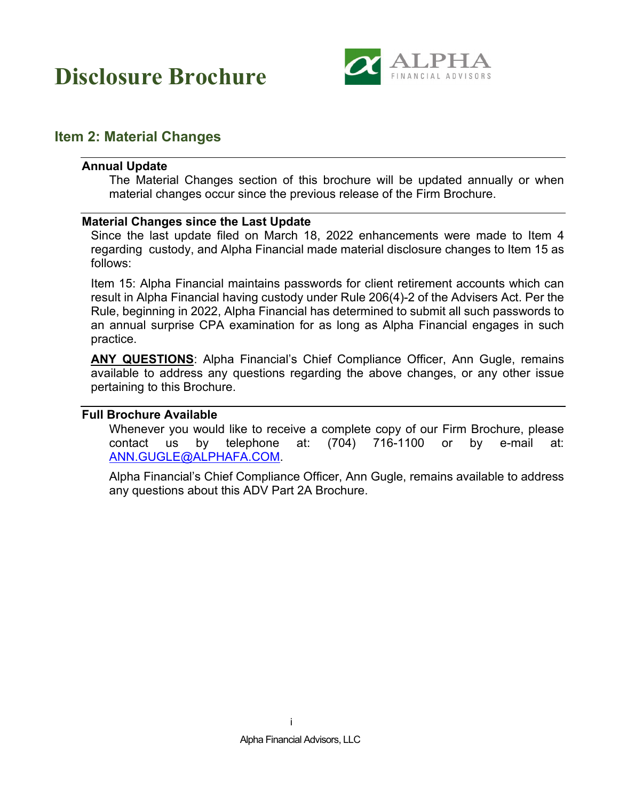

### <span id="page-1-1"></span><span id="page-1-0"></span>**Item 2: Material Changes**

#### **Annual Update**

The Material Changes section of this brochure will be updated annually or when material changes occur since the previous release of the Firm Brochure.

#### <span id="page-1-2"></span>**Material Changes since the Last Update**

Since the last update filed on March 18, 2022 enhancements were made to Item 4 regarding custody, and Alpha Financial made material disclosure changes to Item 15 as follows:

Item 15: Alpha Financial maintains passwords for client retirement accounts which can result in Alpha Financial having custody under Rule 206(4)-2 of the Advisers Act. Per the Rule, beginning in 2022, Alpha Financial has determined to submit all such passwords to an annual surprise CPA examination for as long as Alpha Financial engages in such practice.

**ANY QUESTIONS**: Alpha Financial's Chief Compliance Officer, Ann Gugle, remains available to address any questions regarding the above changes, or any other issue pertaining to this Brochure.

#### <span id="page-1-3"></span>**Full Brochure Available**

Whenever you would like to receive a complete copy of our Firm Brochure, please contact us by telephone at: (704) 716-1100 or by e-mail at: [ANN.GUGLE@ALPHAFA.COM.](mailto:ANN.GUGLE@ALPHAFA.COM)

Alpha Financial's Chief Compliance Officer, Ann Gugle, remains available to address any questions about this ADV Part 2A Brochure.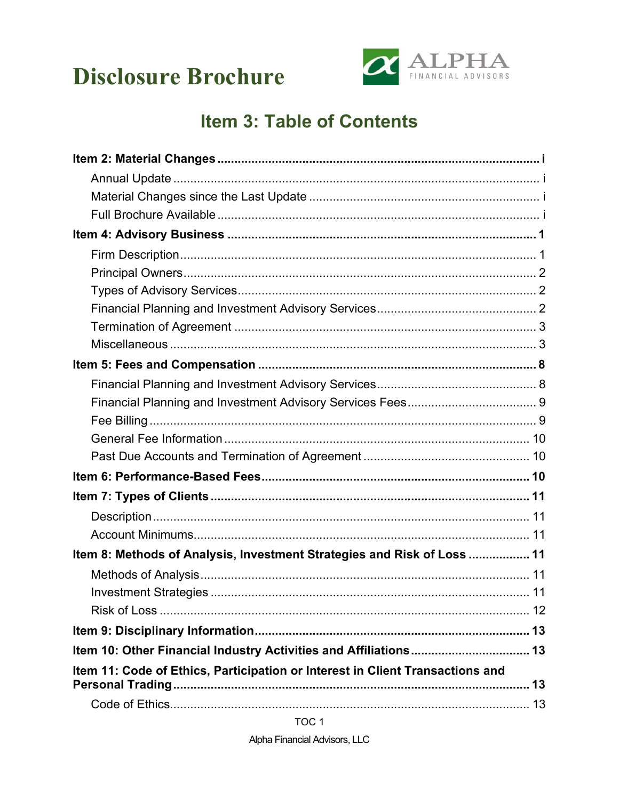

### **Item 3: Table of Contents**

| Item 8: Methods of Analysis, Investment Strategies and Risk of Loss  11       |  |
|-------------------------------------------------------------------------------|--|
|                                                                               |  |
|                                                                               |  |
|                                                                               |  |
|                                                                               |  |
| Item 10: Other Financial Industry Activities and Affiliations 13              |  |
| Item 11: Code of Ethics, Participation or Interest in Client Transactions and |  |
|                                                                               |  |
|                                                                               |  |

TOC<sub>1</sub>

Alpha Financial Advisors, LLC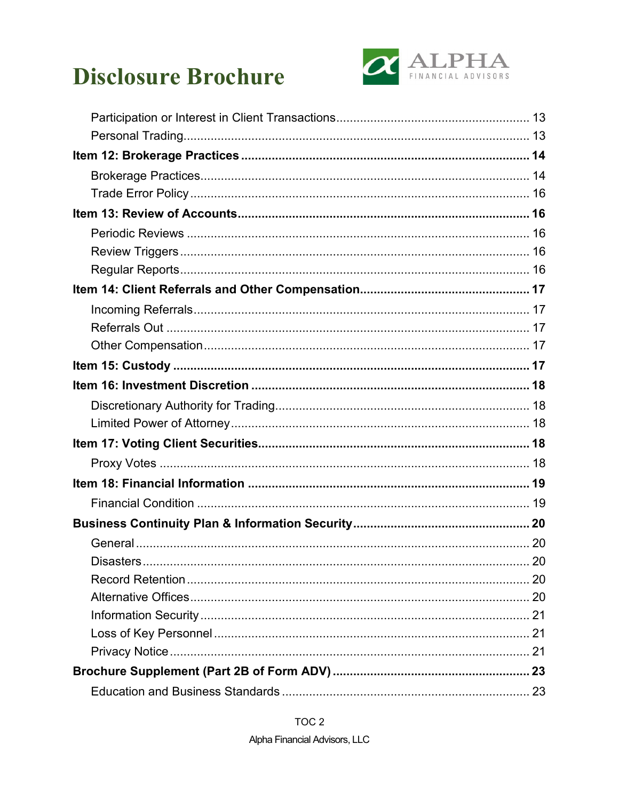

| Disasters |  |
|-----------|--|
|           |  |
|           |  |
|           |  |
|           |  |
|           |  |
|           |  |
|           |  |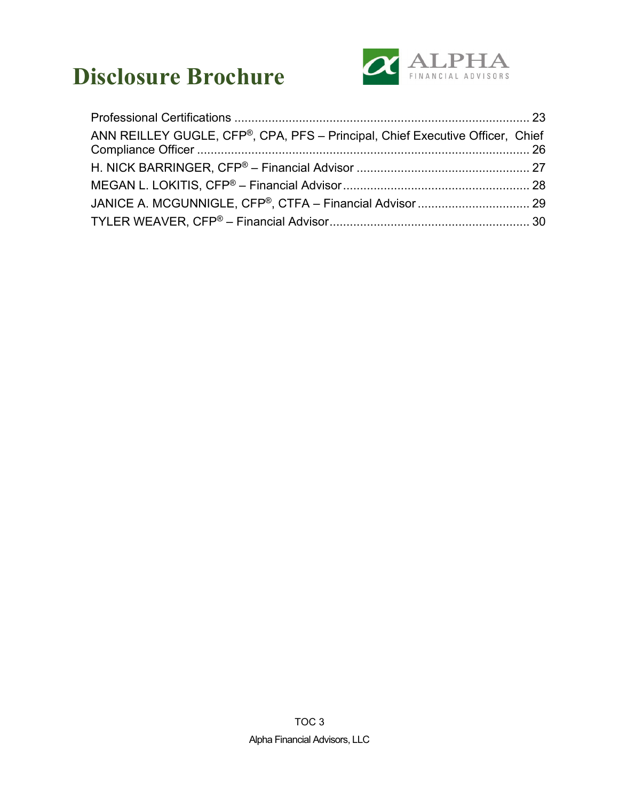

| ANN REILLEY GUGLE, CFP®, CPA, PFS - Principal, Chief Executive Officer, Chief |  |
|-------------------------------------------------------------------------------|--|
|                                                                               |  |
|                                                                               |  |
|                                                                               |  |
|                                                                               |  |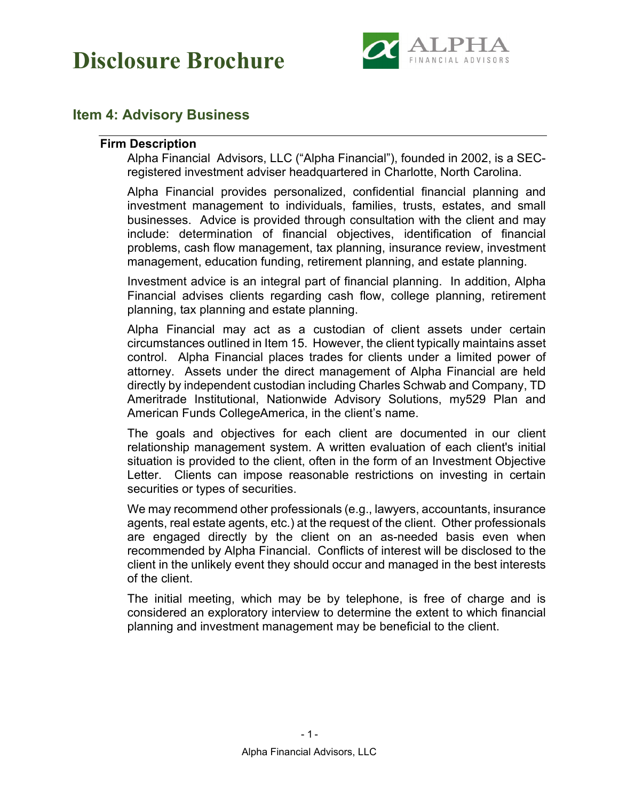

### <span id="page-5-1"></span><span id="page-5-0"></span>**Item 4: Advisory Business**

#### **Firm Description**

Alpha Financial Advisors, LLC ("Alpha Financial"), founded in 2002, is a SECregistered investment adviser headquartered in Charlotte, North Carolina.

Alpha Financial provides personalized, confidential financial planning and investment management to individuals, families, trusts, estates, and small businesses. Advice is provided through consultation with the client and may include: determination of financial objectives, identification of financial problems, cash flow management, tax planning, insurance review, investment management, education funding, retirement planning, and estate planning.

Investment advice is an integral part of financial planning. In addition, Alpha Financial advises clients regarding cash flow, college planning, retirement planning, tax planning and estate planning.

Alpha Financial may act as a custodian of client assets under certain circumstances outlined in Item 15. However, the client typically maintains asset control. Alpha Financial places trades for clients under a limited power of attorney. Assets under the direct management of Alpha Financial are held directly by independent custodian including Charles Schwab and Company, TD Ameritrade Institutional, Nationwide Advisory Solutions, my529 Plan and American Funds CollegeAmerica, in the client's name.

The goals and objectives for each client are documented in our client relationship management system. A written evaluation of each client's initial situation is provided to the client, often in the form of an Investment Objective Letter. Clients can impose reasonable restrictions on investing in certain securities or types of securities.

We may recommend other professionals (e.g., lawyers, accountants, insurance agents, real estate agents, etc.) at the request of the client. Other professionals are engaged directly by the client on an as-needed basis even when recommended by Alpha Financial. Conflicts of interest will be disclosed to the client in the unlikely event they should occur and managed in the best interests of the client.

The initial meeting, which may be by telephone, is free of charge and is considered an exploratory interview to determine the extent to which financial planning and investment management may be beneficial to the client.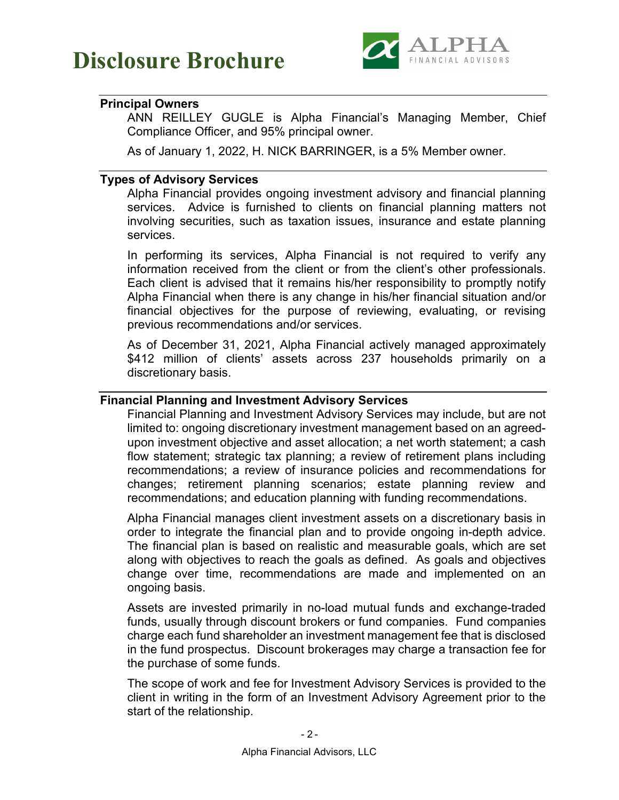

#### <span id="page-6-0"></span>**Principal Owners**

ANN REILLEY GUGLE is Alpha Financial's Managing Member, Chief Compliance Officer, and 95% principal owner.

As of January 1, 2022, H. NICK BARRINGER, is a 5% Member owner.

#### <span id="page-6-1"></span>**Types of Advisory Services**

Alpha Financial provides ongoing investment advisory and financial planning services. Advice is furnished to clients on financial planning matters not involving securities, such as taxation issues, insurance and estate planning services.

In performing its services, Alpha Financial is not required to verify any information received from the client or from the client's other professionals. Each client is advised that it remains his/her responsibility to promptly notify Alpha Financial when there is any change in his/her financial situation and/or financial objectives for the purpose of reviewing, evaluating, or revising previous recommendations and/or services.

As of December 31, 2021, Alpha Financial actively managed approximately \$412 million of clients' assets across 237 households primarily on a discretionary basis.

#### <span id="page-6-2"></span>**Financial Planning and Investment Advisory Services**

Financial Planning and Investment Advisory Services may include, but are not limited to: ongoing discretionary investment management based on an agreedupon investment objective and asset allocation; a net worth statement; a cash flow statement; strategic tax planning; a review of retirement plans including recommendations; a review of insurance policies and recommendations for changes; retirement planning scenarios; estate planning review and recommendations; and education planning with funding recommendations.

Alpha Financial manages client investment assets on a discretionary basis in order to integrate the financial plan and to provide ongoing in-depth advice. The financial plan is based on realistic and measurable goals, which are set along with objectives to reach the goals as defined. As goals and objectives change over time, recommendations are made and implemented on an ongoing basis.

Assets are invested primarily in no-load mutual funds and exchange-traded funds, usually through discount brokers or fund companies. Fund companies charge each fund shareholder an investment management fee that is disclosed in the fund prospectus. Discount brokerages may charge a transaction fee for the purchase of some funds.

The scope of work and fee for Investment Advisory Services is provided to the client in writing in the form of an Investment Advisory Agreement prior to the start of the relationship.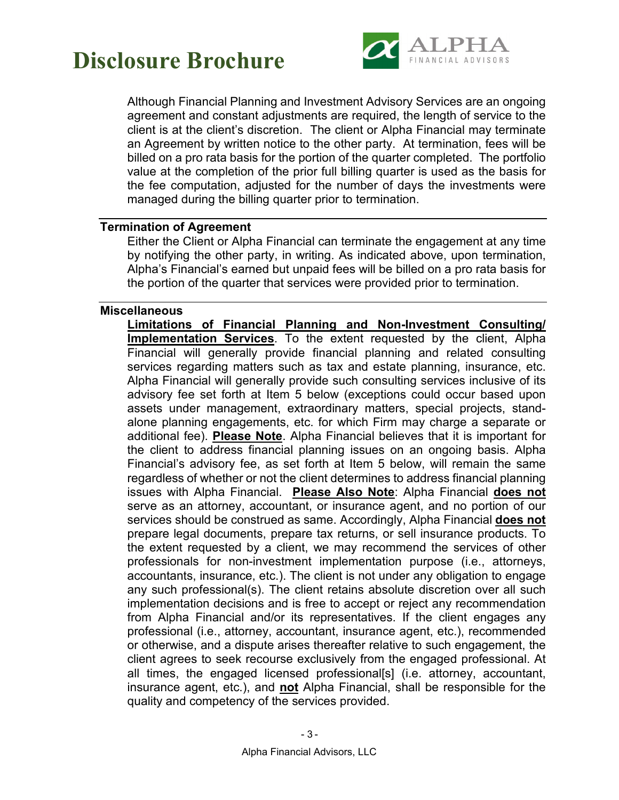

Although Financial Planning and Investment Advisory Services are an ongoing agreement and constant adjustments are required, the length of service to the client is at the client's discretion. The client or Alpha Financial may terminate an Agreement by written notice to the other party. At termination, fees will be billed on a pro rata basis for the portion of the quarter completed. The portfolio value at the completion of the prior full billing quarter is used as the basis for the fee computation, adjusted for the number of days the investments were managed during the billing quarter prior to termination.

#### <span id="page-7-0"></span>**Termination of Agreement**

Either the Client or Alpha Financial can terminate the engagement at any time by notifying the other party, in writing. As indicated above, upon termination, Alpha's Financial's earned but unpaid fees will be billed on a pro rata basis for the portion of the quarter that services were provided prior to termination.

#### <span id="page-7-1"></span>**Miscellaneous**

**Limitations of Financial Planning and Non-Investment Consulting/ Implementation Services**. To the extent requested by the client, Alpha Financial will generally provide financial planning and related consulting services regarding matters such as tax and estate planning, insurance, etc. Alpha Financial will generally provide such consulting services inclusive of its advisory fee set forth at Item 5 below (exceptions could occur based upon assets under management, extraordinary matters, special projects, standalone planning engagements, etc. for which Firm may charge a separate or additional fee). **Please Note**. Alpha Financial believes that it is important for the client to address financial planning issues on an ongoing basis. Alpha Financial's advisory fee, as set forth at Item 5 below, will remain the same regardless of whether or not the client determines to address financial planning issues with Alpha Financial. **Please Also Note**: Alpha Financial **does not** serve as an attorney, accountant, or insurance agent, and no portion of our services should be construed as same. Accordingly, Alpha Financial **does not** prepare legal documents, prepare tax returns, or sell insurance products. To the extent requested by a client, we may recommend the services of other professionals for non-investment implementation purpose (i.e., attorneys, accountants, insurance, etc.). The client is not under any obligation to engage any such professional(s). The client retains absolute discretion over all such implementation decisions and is free to accept or reject any recommendation from Alpha Financial and/or its representatives. If the client engages any professional (i.e., attorney, accountant, insurance agent, etc.), recommended or otherwise, and a dispute arises thereafter relative to such engagement, the client agrees to seek recourse exclusively from the engaged professional. At all times, the engaged licensed professional[s] (i.e. attorney, accountant, insurance agent, etc.), and **not** Alpha Financial, shall be responsible for the quality and competency of the services provided.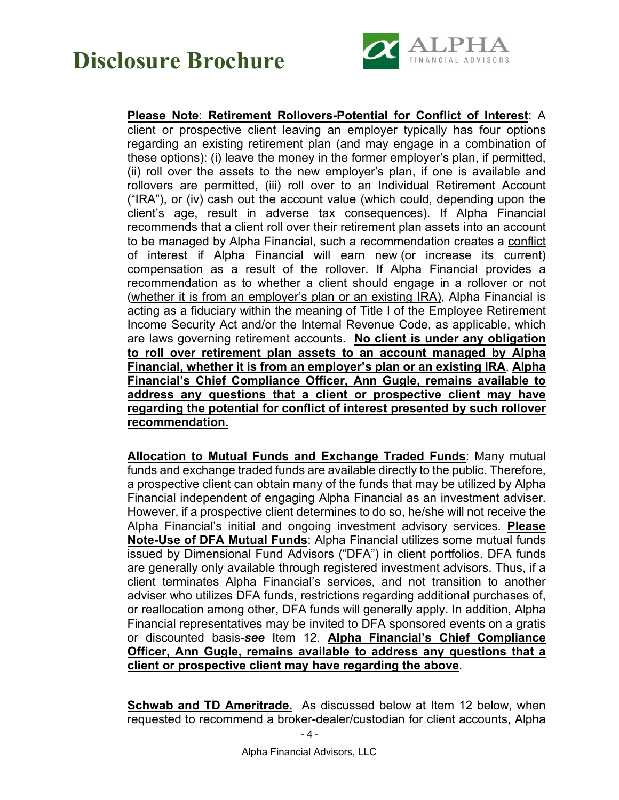

### **Please Note**: **Retirement Rollovers-Potential for Conflict of Interest**: A

client or prospective client leaving an employer typically has four options regarding an existing retirement plan (and may engage in a combination of these options): (i) leave the money in the former employer's plan, if permitted, (ii) roll over the assets to the new employer's plan, if one is available and rollovers are permitted, (iii) roll over to an Individual Retirement Account ("IRA"), or (iv) cash out the account value (which could, depending upon the client's age, result in adverse tax consequences). If Alpha Financial recommends that a client roll over their retirement plan assets into an account to be managed by Alpha Financial, such a recommendation creates a conflict of interest if Alpha Financial will earn new (or increase its current) compensation as a result of the rollover. If Alpha Financial provides a recommendation as to whether a client should engage in a rollover or not (whether it is from an employer's plan or an existing IRA), Alpha Financial is acting as a fiduciary within the meaning of Title I of the Employee Retirement Income Security Act and/or the Internal Revenue Code, as applicable, which are laws governing retirement accounts. **No client is under any obligation to roll over retirement plan assets to an account managed by Alpha Financial, whether it is from an employer's plan or an existing IRA**. **Alpha Financial's Chief Compliance Officer, Ann Gugle, remains available to address any questions that a client or prospective client may have regarding the potential for conflict of interest presented by such rollover recommendation.** 

**Allocation to Mutual Funds and Exchange Traded Funds**: Many mutual funds and exchange traded funds are available directly to the public. Therefore, a prospective client can obtain many of the funds that may be utilized by Alpha Financial independent of engaging Alpha Financial as an investment adviser. However, if a prospective client determines to do so, he/she will not receive the Alpha Financial's initial and ongoing investment advisory services. **Please Note-Use of DFA Mutual Funds**: Alpha Financial utilizes some mutual funds issued by Dimensional Fund Advisors ("DFA") in client portfolios. DFA funds are generally only available through registered investment advisors. Thus, if a client terminates Alpha Financial's services, and not transition to another adviser who utilizes DFA funds, restrictions regarding additional purchases of, or reallocation among other, DFA funds will generally apply. In addition, Alpha Financial representatives may be invited to DFA sponsored events on a gratis or discounted basis-*see* Item 12. **Alpha Financial's Chief Compliance Officer, Ann Gugle, remains available to address any questions that a client or prospective client may have regarding the above**.

**Schwab and TD Ameritrade.** As discussed below at Item 12 below, when requested to recommend a broker-dealer/custodian for client accounts, Alpha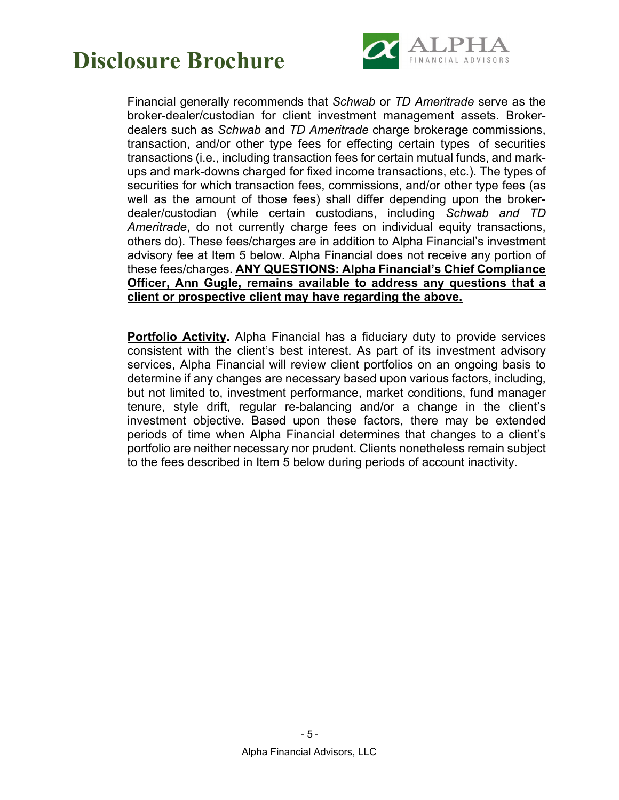

Financial generally recommends that *Schwab* or *TD Ameritrade* serve as the broker-dealer/custodian for client investment management assets. Brokerdealers such as *Schwab* and *TD Ameritrade* charge brokerage commissions, transaction, and/or other type fees for effecting certain types of securities transactions (i.e., including transaction fees for certain mutual funds, and markups and mark-downs charged for fixed income transactions, etc.). The types of securities for which transaction fees, commissions, and/or other type fees (as well as the amount of those fees) shall differ depending upon the brokerdealer/custodian (while certain custodians, including *Schwab and TD Ameritrade*, do not currently charge fees on individual equity transactions, others do). These fees/charges are in addition to Alpha Financial's investment advisory fee at Item 5 below. Alpha Financial does not receive any portion of these fees/charges. **ANY QUESTIONS: Alpha Financial's Chief Compliance Officer, Ann Gugle, remains available to address any questions that a client or prospective client may have regarding the above.** 

**Portfolio Activity.** Alpha Financial has a fiduciary duty to provide services consistent with the client's best interest. As part of its investment advisory services, Alpha Financial will review client portfolios on an ongoing basis to determine if any changes are necessary based upon various factors, including, but not limited to, investment performance, market conditions, fund manager tenure, style drift, regular re-balancing and/or a change in the client's investment objective. Based upon these factors, there may be extended periods of time when Alpha Financial determines that changes to a client's portfolio are neither necessary nor prudent. Clients nonetheless remain subject to the fees described in Item 5 below during periods of account inactivity.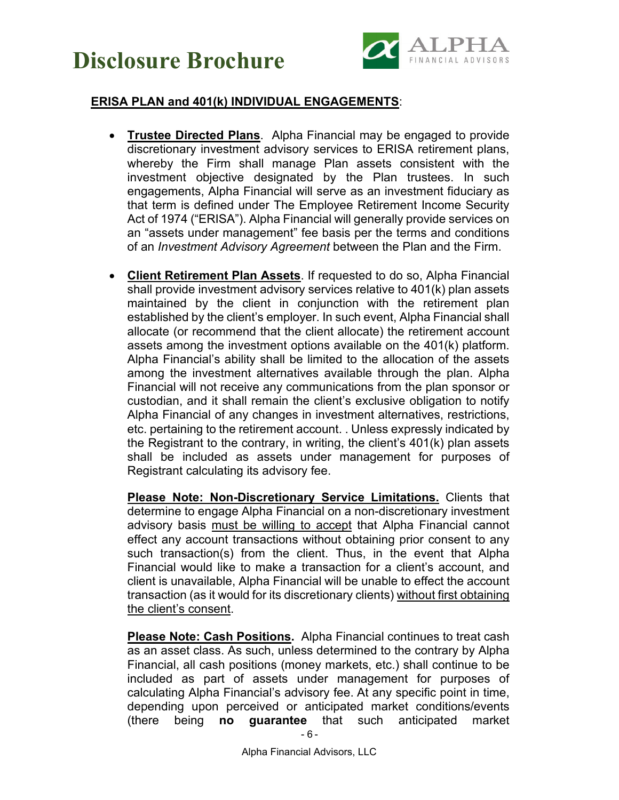



### **ERISA PLAN and 401(k) INDIVIDUAL ENGAGEMENTS**:

- **Trustee Directed Plans**. Alpha Financial may be engaged to provide discretionary investment advisory services to ERISA retirement plans, whereby the Firm shall manage Plan assets consistent with the investment objective designated by the Plan trustees. In such engagements, Alpha Financial will serve as an investment fiduciary as that term is defined under The Employee Retirement Income Security Act of 1974 ("ERISA"). Alpha Financial will generally provide services on an "assets under management" fee basis per the terms and conditions of an *Investment Advisory Agreement* between the Plan and the Firm.
- **Client Retirement Plan Assets**. If requested to do so, Alpha Financial shall provide investment advisory services relative to 401(k) plan assets maintained by the client in conjunction with the retirement plan established by the client's employer. In such event, Alpha Financial shall allocate (or recommend that the client allocate) the retirement account assets among the investment options available on the 401(k) platform. Alpha Financial's ability shall be limited to the allocation of the assets among the investment alternatives available through the plan. Alpha Financial will not receive any communications from the plan sponsor or custodian, and it shall remain the client's exclusive obligation to notify Alpha Financial of any changes in investment alternatives, restrictions, etc. pertaining to the retirement account. . Unless expressly indicated by the Registrant to the contrary, in writing, the client's 401(k) plan assets shall be included as assets under management for purposes of Registrant calculating its advisory fee.

**Please Note: Non-Discretionary Service Limitations.** Clients that determine to engage Alpha Financial on a non-discretionary investment advisory basis must be willing to accept that Alpha Financial cannot effect any account transactions without obtaining prior consent to any such transaction(s) from the client. Thus, in the event that Alpha Financial would like to make a transaction for a client's account, and client is unavailable, Alpha Financial will be unable to effect the account transaction (as it would for its discretionary clients) without first obtaining the client's consent.

**Please Note: Cash Positions.** Alpha Financial continues to treat cash as an asset class. As such, unless determined to the contrary by Alpha Financial, all cash positions (money markets, etc.) shall continue to be included as part of assets under management for purposes of calculating Alpha Financial's advisory fee. At any specific point in time, depending upon perceived or anticipated market conditions/events (there being **no guarantee** that such anticipated market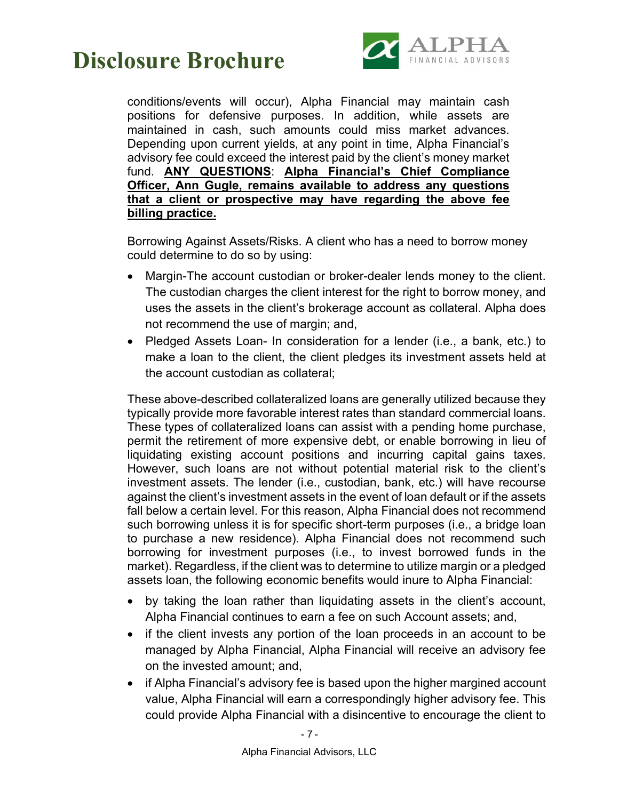

conditions/events will occur), Alpha Financial may maintain cash positions for defensive purposes. In addition, while assets are maintained in cash, such amounts could miss market advances. Depending upon current yields, at any point in time, Alpha Financial's advisory fee could exceed the interest paid by the client's money market fund. **ANY QUESTIONS**: **Alpha Financial's Chief Compliance Officer, Ann Gugle, remains available to address any questions that a client or prospective may have regarding the above fee billing practice.** 

Borrowing Against Assets/Risks. A client who has a need to borrow money could determine to do so by using:

- Margin-The account custodian or broker-dealer lends money to the client. The custodian charges the client interest for the right to borrow money, and uses the assets in the client's brokerage account as collateral. Alpha does not recommend the use of margin; and,
- Pledged Assets Loan- In consideration for a lender (i.e., a bank, etc.) to make a loan to the client, the client pledges its investment assets held at the account custodian as collateral;

These above-described collateralized loans are generally utilized because they typically provide more favorable interest rates than standard commercial loans. These types of collateralized loans can assist with a pending home purchase, permit the retirement of more expensive debt, or enable borrowing in lieu of liquidating existing account positions and incurring capital gains taxes. However, such loans are not without potential material risk to the client's investment assets. The lender (i.e., custodian, bank, etc.) will have recourse against the client's investment assets in the event of loan default or if the assets fall below a certain level. For this reason, Alpha Financial does not recommend such borrowing unless it is for specific short-term purposes (i.e., a bridge loan to purchase a new residence). Alpha Financial does not recommend such borrowing for investment purposes (i.e., to invest borrowed funds in the market). Regardless, if the client was to determine to utilize margin or a pledged assets loan, the following economic benefits would inure to Alpha Financial:

- by taking the loan rather than liquidating assets in the client's account, Alpha Financial continues to earn a fee on such Account assets; and,
- if the client invests any portion of the loan proceeds in an account to be managed by Alpha Financial, Alpha Financial will receive an advisory fee on the invested amount; and,
- if Alpha Financial's advisory fee is based upon the higher margined account value, Alpha Financial will earn a correspondingly higher advisory fee. This could provide Alpha Financial with a disincentive to encourage the client to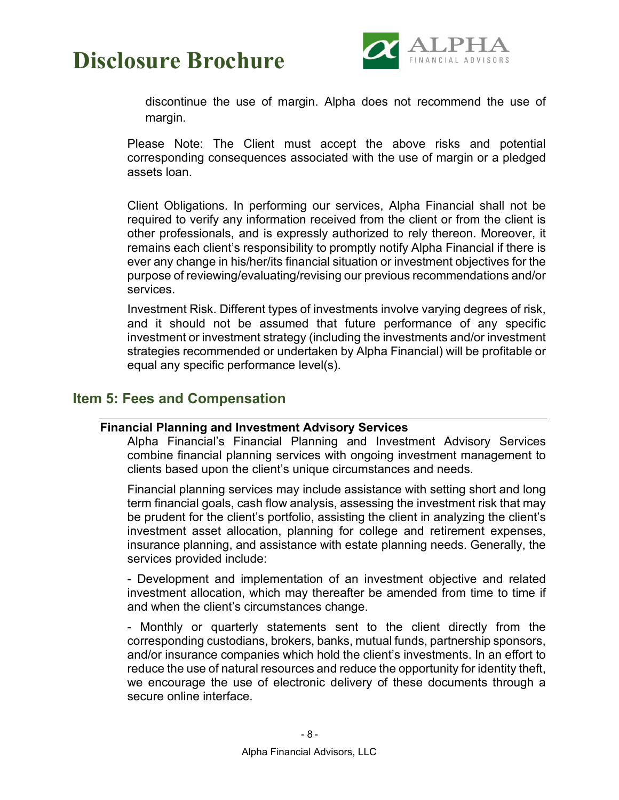

discontinue the use of margin. Alpha does not recommend the use of margin.

Please Note: The Client must accept the above risks and potential corresponding consequences associated with the use of margin or a pledged assets loan.

Client Obligations. In performing our services, Alpha Financial shall not be required to verify any information received from the client or from the client is other professionals, and is expressly authorized to rely thereon. Moreover, it remains each client's responsibility to promptly notify Alpha Financial if there is ever any change in his/her/its financial situation or investment objectives for the purpose of reviewing/evaluating/revising our previous recommendations and/or services.

Investment Risk. Different types of investments involve varying degrees of risk, and it should not be assumed that future performance of any specific investment or investment strategy (including the investments and/or investment strategies recommended or undertaken by Alpha Financial) will be profitable or equal any specific performance level(s).

### <span id="page-12-1"></span><span id="page-12-0"></span>**Item 5: Fees and Compensation**

#### **Financial Planning and Investment Advisory Services**

Alpha Financial's Financial Planning and Investment Advisory Services combine financial planning services with ongoing investment management to clients based upon the client's unique circumstances and needs.

Financial planning services may include assistance with setting short and long term financial goals, cash flow analysis, assessing the investment risk that may be prudent for the client's portfolio, assisting the client in analyzing the client's investment asset allocation, planning for college and retirement expenses, insurance planning, and assistance with estate planning needs. Generally, the services provided include:

- Development and implementation of an investment objective and related investment allocation, which may thereafter be amended from time to time if and when the client's circumstances change.

- Monthly or quarterly statements sent to the client directly from the corresponding custodians, brokers, banks, mutual funds, partnership sponsors, and/or insurance companies which hold the client's investments. In an effort to reduce the use of natural resources and reduce the opportunity for identity theft, we encourage the use of electronic delivery of these documents through a secure online interface.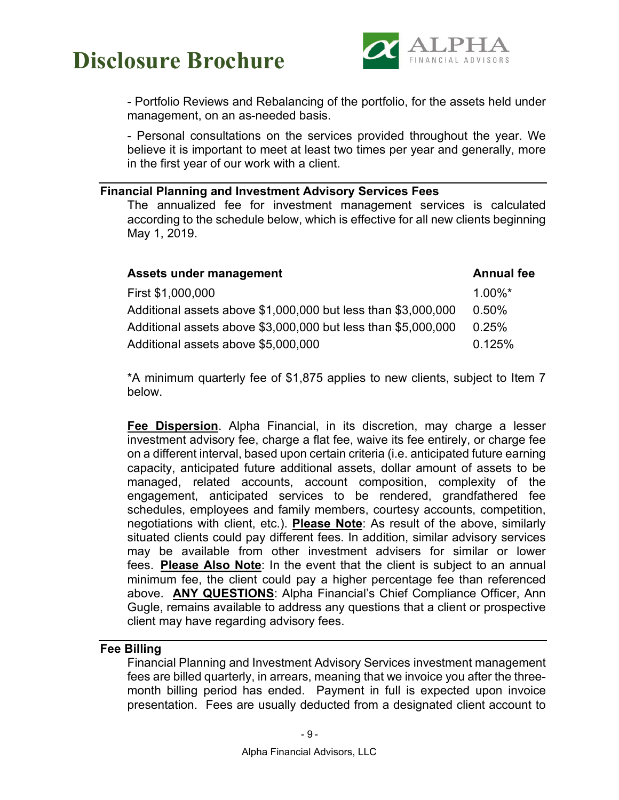

- Portfolio Reviews and Rebalancing of the portfolio, for the assets held under management, on an as-needed basis.

- Personal consultations on the services provided throughout the year. We believe it is important to meet at least two times per year and generally, more in the first year of our work with a client.

#### <span id="page-13-0"></span>**Financial Planning and Investment Advisory Services Fees**

The annualized fee for investment management services is calculated according to the schedule below, which is effective for all new clients beginning May 1, 2019.

| Assets under management                                       | <b>Annual fee</b> |
|---------------------------------------------------------------|-------------------|
| First \$1,000,000                                             | $1.00\%$ *        |
| Additional assets above \$1,000,000 but less than \$3,000,000 | 0.50%             |
| Additional assets above \$3,000,000 but less than \$5,000,000 | 0.25%             |
| Additional assets above \$5,000,000                           | 0.125%            |

\*A minimum quarterly fee of \$1,875 applies to new clients, subject to Item 7 below.

**Fee Dispersion**. Alpha Financial, in its discretion, may charge a lesser investment advisory fee, charge a flat fee, waive its fee entirely, or charge fee on a different interval, based upon certain criteria (i.e. anticipated future earning capacity, anticipated future additional assets, dollar amount of assets to be managed, related accounts, account composition, complexity of the engagement, anticipated services to be rendered, grandfathered fee schedules, employees and family members, courtesy accounts, competition, negotiations with client, etc.). **Please Note**: As result of the above, similarly situated clients could pay different fees. In addition, similar advisory services may be available from other investment advisers for similar or lower fees. **Please Also Note**: In the event that the client is subject to an annual minimum fee, the client could pay a higher percentage fee than referenced above. **ANY QUESTIONS**: Alpha Financial's Chief Compliance Officer, Ann Gugle, remains available to address any questions that a client or prospective client may have regarding advisory fees.

#### <span id="page-13-1"></span>**Fee Billing**

Financial Planning and Investment Advisory Services investment management fees are billed quarterly, in arrears, meaning that we invoice you after the threemonth billing period has ended. Payment in full is expected upon invoice presentation. Fees are usually deducted from a designated client account to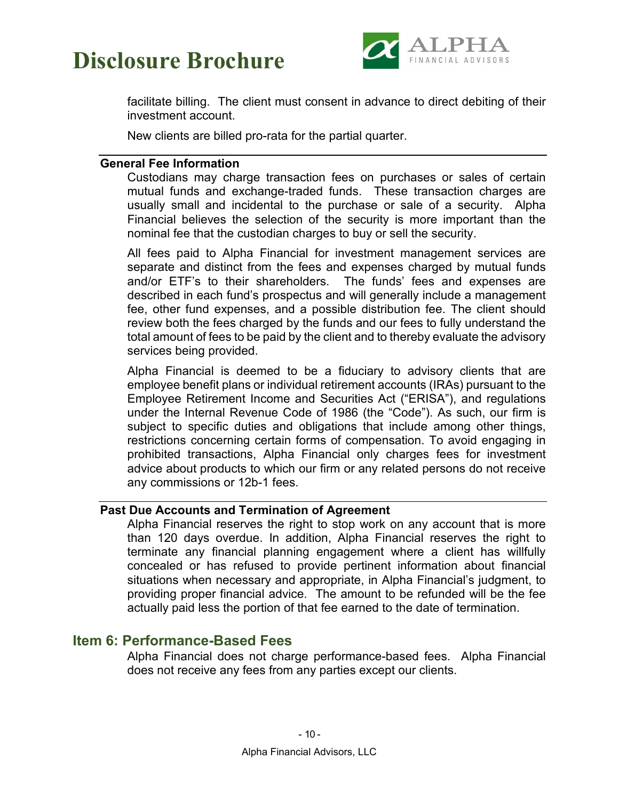



facilitate billing. The client must consent in advance to direct debiting of their investment account.

New clients are billed pro-rata for the partial quarter.

#### <span id="page-14-0"></span>**General Fee Information**

Custodians may charge transaction fees on purchases or sales of certain mutual funds and exchange-traded funds. These transaction charges are usually small and incidental to the purchase or sale of a security. Alpha Financial believes the selection of the security is more important than the nominal fee that the custodian charges to buy or sell the security.

All fees paid to Alpha Financial for investment management services are separate and distinct from the fees and expenses charged by mutual funds and/or ETF's to their shareholders. The funds' fees and expenses are described in each fund's prospectus and will generally include a management fee, other fund expenses, and a possible distribution fee. The client should review both the fees charged by the funds and our fees to fully understand the total amount of fees to be paid by the client and to thereby evaluate the advisory services being provided.

Alpha Financial is deemed to be a fiduciary to advisory clients that are employee benefit plans or individual retirement accounts (IRAs) pursuant to the Employee Retirement Income and Securities Act ("ERISA"), and regulations under the Internal Revenue Code of 1986 (the "Code"). As such, our firm is subject to specific duties and obligations that include among other things, restrictions concerning certain forms of compensation. To avoid engaging in prohibited transactions, Alpha Financial only charges fees for investment advice about products to which our firm or any related persons do not receive any commissions or 12b-1 fees.

#### <span id="page-14-1"></span>**Past Due Accounts and Termination of Agreement**

Alpha Financial reserves the right to stop work on any account that is more than 120 days overdue. In addition, Alpha Financial reserves the right to terminate any financial planning engagement where a client has willfully concealed or has refused to provide pertinent information about financial situations when necessary and appropriate, in Alpha Financial's judgment, to providing proper financial advice. The amount to be refunded will be the fee actually paid less the portion of that fee earned to the date of termination.

#### <span id="page-14-2"></span>**Item 6: Performance-Based Fees**

Alpha Financial does not charge performance-based fees. Alpha Financial does not receive any fees from any parties except our clients.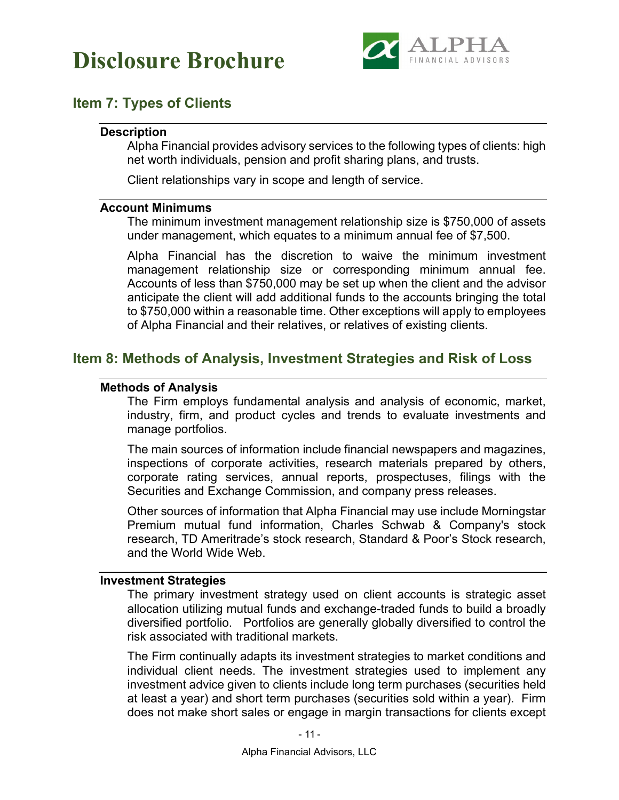

### <span id="page-15-1"></span><span id="page-15-0"></span>**Item 7: Types of Clients**

#### **Description**

Alpha Financial provides advisory services to the following types of clients: high net worth individuals, pension and profit sharing plans, and trusts.

Client relationships vary in scope and length of service.

#### <span id="page-15-2"></span>**Account Minimums**

The minimum investment management relationship size is \$750,000 of assets under management, which equates to a minimum annual fee of \$7,500.

Alpha Financial has the discretion to waive the minimum investment management relationship size or corresponding minimum annual fee. Accounts of less than \$750,000 may be set up when the client and the advisor anticipate the client will add additional funds to the accounts bringing the total to \$750,000 within a reasonable time. Other exceptions will apply to employees of Alpha Financial and their relatives, or relatives of existing clients.

### <span id="page-15-4"></span><span id="page-15-3"></span>**Item 8: Methods of Analysis, Investment Strategies and Risk of Loss**

#### **Methods of Analysis**

The Firm employs fundamental analysis and analysis of economic, market, industry, firm, and product cycles and trends to evaluate investments and manage portfolios.

The main sources of information include financial newspapers and magazines, inspections of corporate activities, research materials prepared by others, corporate rating services, annual reports, prospectuses, filings with the Securities and Exchange Commission, and company press releases.

Other sources of information that Alpha Financial may use include Morningstar Premium mutual fund information, Charles Schwab & Company's stock research, TD Ameritrade's stock research, Standard & Poor's Stock research, and the World Wide Web.

#### <span id="page-15-5"></span>**Investment Strategies**

The primary investment strategy used on client accounts is strategic asset allocation utilizing mutual funds and exchange-traded funds to build a broadly diversified portfolio. Portfolios are generally globally diversified to control the risk associated with traditional markets.

The Firm continually adapts its investment strategies to market conditions and individual client needs. The investment strategies used to implement any investment advice given to clients include long term purchases (securities held at least a year) and short term purchases (securities sold within a year). Firm does not make short sales or engage in margin transactions for clients except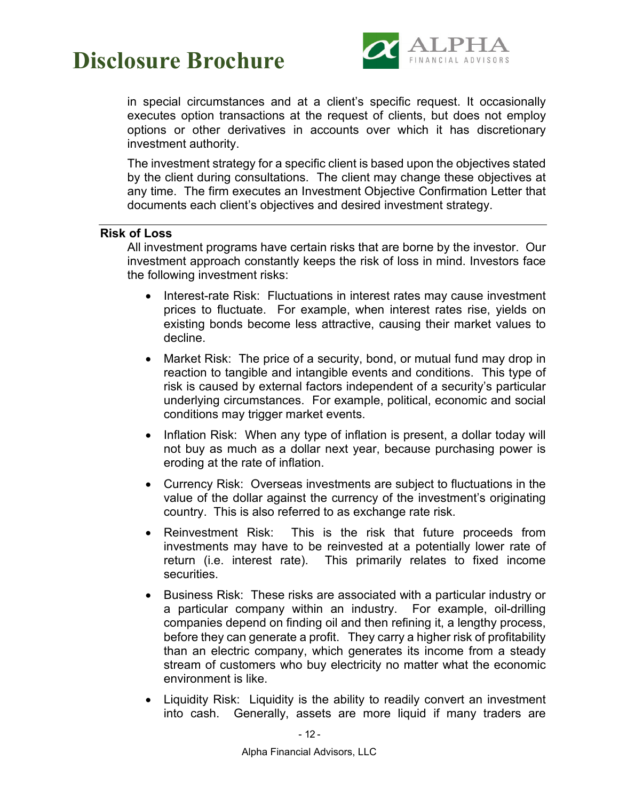

in special circumstances and at a client's specific request. It occasionally executes option transactions at the request of clients, but does not employ options or other derivatives in accounts over which it has discretionary investment authority.

The investment strategy for a specific client is based upon the objectives stated by the client during consultations. The client may change these objectives at any time. The firm executes an Investment Objective Confirmation Letter that documents each client's objectives and desired investment strategy.

#### <span id="page-16-0"></span>**Risk of Loss**

All investment programs have certain risks that are borne by the investor. Our investment approach constantly keeps the risk of loss in mind. Investors face the following investment risks:

- Interest-rate Risk: Fluctuations in interest rates may cause investment prices to fluctuate. For example, when interest rates rise, yields on existing bonds become less attractive, causing their market values to decline.
- Market Risk: The price of a security, bond, or mutual fund may drop in reaction to tangible and intangible events and conditions. This type of risk is caused by external factors independent of a security's particular underlying circumstances. For example, political, economic and social conditions may trigger market events.
- Inflation Risk: When any type of inflation is present, a dollar today will not buy as much as a dollar next year, because purchasing power is eroding at the rate of inflation.
- Currency Risk: Overseas investments are subject to fluctuations in the value of the dollar against the currency of the investment's originating country. This is also referred to as exchange rate risk.
- Reinvestment Risk: This is the risk that future proceeds from investments may have to be reinvested at a potentially lower rate of return (i.e. interest rate). This primarily relates to fixed income securities.
- Business Risk: These risks are associated with a particular industry or a particular company within an industry. For example, oil-drilling companies depend on finding oil and then refining it, a lengthy process, before they can generate a profit. They carry a higher risk of profitability than an electric company, which generates its income from a steady stream of customers who buy electricity no matter what the economic environment is like.
- Liquidity Risk: Liquidity is the ability to readily convert an investment into cash. Generally, assets are more liquid if many traders are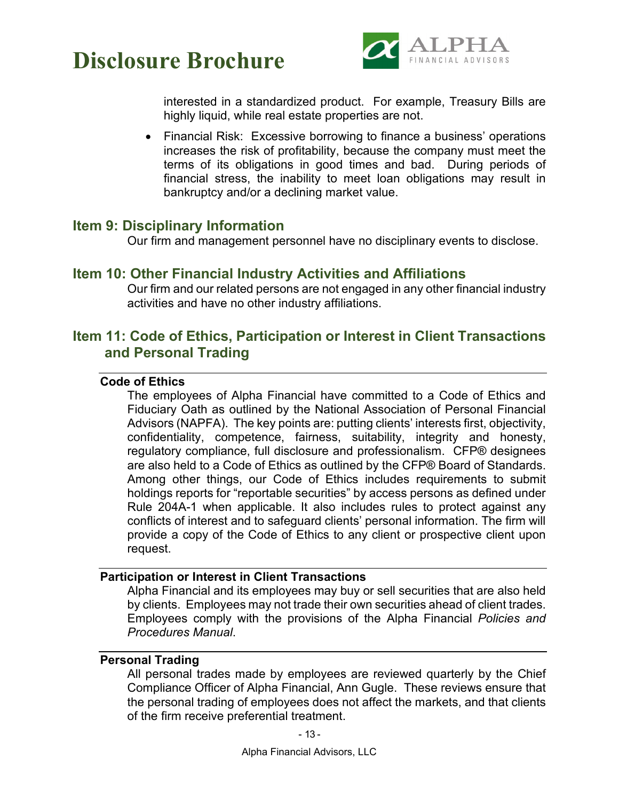

interested in a standardized product. For example, Treasury Bills are highly liquid, while real estate properties are not.

• Financial Risk: Excessive borrowing to finance a business' operations increases the risk of profitability, because the company must meet the terms of its obligations in good times and bad. During periods of financial stress, the inability to meet loan obligations may result in bankruptcy and/or a declining market value.

### <span id="page-17-0"></span>**Item 9: Disciplinary Information**

Our firm and management personnel have no disciplinary events to disclose.

### <span id="page-17-1"></span>**Item 10: Other Financial Industry Activities and Affiliations**

Our firm and our related persons are not engaged in any other financial industry activities and have no other industry affiliations.

### <span id="page-17-3"></span><span id="page-17-2"></span>**Item 11: Code of Ethics, Participation or Interest in Client Transactions and Personal Trading**

#### **Code of Ethics**

The employees of Alpha Financial have committed to a Code of Ethics and Fiduciary Oath as outlined by the National Association of Personal Financial Advisors (NAPFA). The key points are: putting clients' interests first, objectivity, confidentiality, competence, fairness, suitability, integrity and honesty, regulatory compliance, full disclosure and professionalism. CFP® designees are also held to a Code of Ethics as outlined by the CFP® Board of Standards. Among other things, our Code of Ethics includes requirements to submit holdings reports for "reportable securities" by access persons as defined under Rule 204A-1 when applicable. It also includes rules to protect against any conflicts of interest and to safeguard clients' personal information. The firm will provide a copy of the Code of Ethics to any client or prospective client upon request.

#### <span id="page-17-4"></span>**Participation or Interest in Client Transactions**

Alpha Financial and its employees may buy or sell securities that are also held by clients. Employees may not trade their own securities ahead of client trades. Employees comply with the provisions of the Alpha Financial *Policies and Procedures Manual*.

#### <span id="page-17-5"></span>**Personal Trading**

All personal trades made by employees are reviewed quarterly by the Chief Compliance Officer of Alpha Financial, Ann Gugle. These reviews ensure that the personal trading of employees does not affect the markets, and that clients of the firm receive preferential treatment.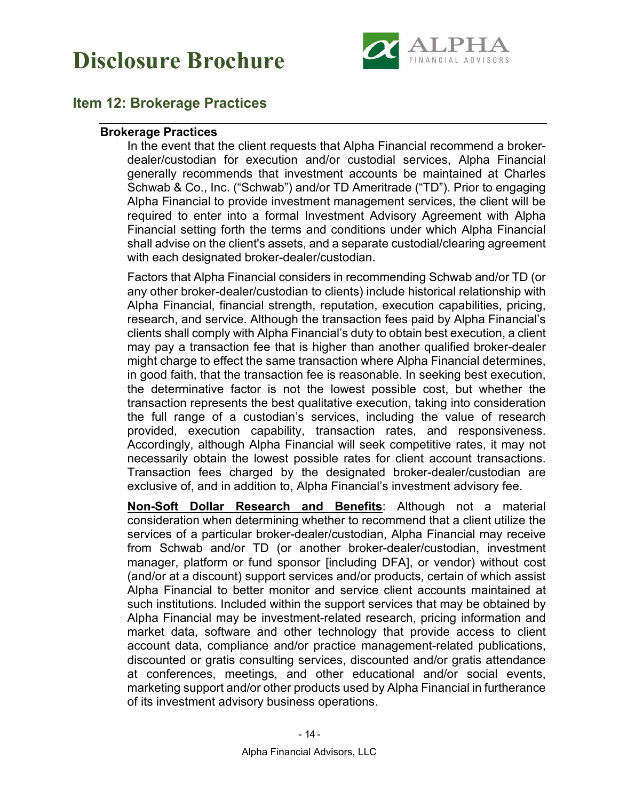

### <span id="page-18-1"></span><span id="page-18-0"></span>**Item 12: Brokerage Practices**

#### **Brokerage Practices**

In the event that the client requests that Alpha Financial recommend a brokerdealer/custodian for execution and/or custodial services, Alpha Financial generally recommends that investment accounts be maintained at Charles Schwab & Co., Inc. ("Schwab") and/or TD Ameritrade ("TD"). Prior to engaging Alpha Financial to provide investment management services, the client will be required to enter into a formal Investment Advisory Agreement with Alpha Financial setting forth the terms and conditions under which Alpha Financial shall advise on the client's assets, and a separate custodial/clearing agreement with each designated broker-dealer/custodian.

Factors that Alpha Financial considers in recommending Schwab and/or TD (or any other broker-dealer/custodian to clients) include historical relationship with Alpha Financial, financial strength, reputation, execution capabilities, pricing, research, and service. Although the transaction fees paid by Alpha Financial's clients shall comply with Alpha Financial's duty to obtain best execution, a client may pay a transaction fee that is higher than another qualified broker-dealer might charge to effect the same transaction where Alpha Financial determines, in good faith, that the transaction fee is reasonable. In seeking best execution, the determinative factor is not the lowest possible cost, but whether the transaction represents the best qualitative execution, taking into consideration the full range of a custodian's services, including the value of research provided, execution capability, transaction rates, and responsiveness. Accordingly, although Alpha Financial will seek competitive rates, it may not necessarily obtain the lowest possible rates for client account transactions. Transaction fees charged by the designated broker-dealer/custodian are exclusive of, and in addition to, Alpha Financial's investment advisory fee.

**Non-Soft Dollar Research and Benefits**: Although not a material consideration when determining whether to recommend that a client utilize the services of a particular broker-dealer/custodian, Alpha Financial may receive from Schwab and/or TD (or another broker-dealer/custodian, investment manager, platform or fund sponsor [including DFA], or vendor) without cost (and/or at a discount) support services and/or products, certain of which assist Alpha Financial to better monitor and service client accounts maintained at such institutions. Included within the support services that may be obtained by Alpha Financial may be investment-related research, pricing information and market data, software and other technology that provide access to client account data, compliance and/or practice management-related publications, discounted or gratis consulting services, discounted and/or gratis attendance at conferences, meetings, and other educational and/or social events, marketing support and/or other products used by Alpha Financial in furtherance of its investment advisory business operations.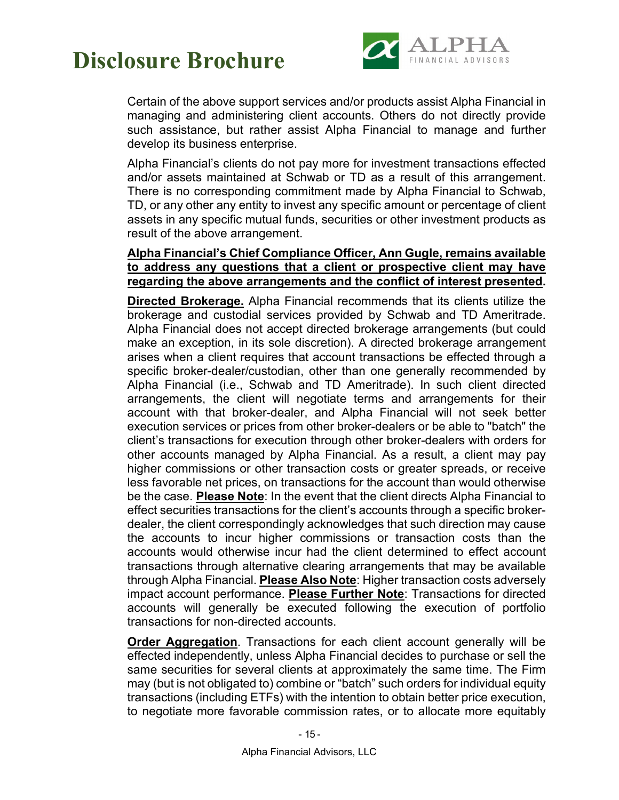

Certain of the above support services and/or products assist Alpha Financial in managing and administering client accounts. Others do not directly provide such assistance, but rather assist Alpha Financial to manage and further develop its business enterprise.

Alpha Financial's clients do not pay more for investment transactions effected and/or assets maintained at Schwab or TD as a result of this arrangement. There is no corresponding commitment made by Alpha Financial to Schwab, TD, or any other any entity to invest any specific amount or percentage of client assets in any specific mutual funds, securities or other investment products as result of the above arrangement.

#### **Alpha Financial's Chief Compliance Officer, Ann Gugle, remains available to address any questions that a client or prospective client may have regarding the above arrangements and the conflict of interest presented.**

**Directed Brokerage.** Alpha Financial recommends that its clients utilize the brokerage and custodial services provided by Schwab and TD Ameritrade. Alpha Financial does not accept directed brokerage arrangements (but could make an exception, in its sole discretion). A directed brokerage arrangement arises when a client requires that account transactions be effected through a specific broker-dealer/custodian, other than one generally recommended by Alpha Financial (i.e., Schwab and TD Ameritrade). In such client directed arrangements, the client will negotiate terms and arrangements for their account with that broker-dealer, and Alpha Financial will not seek better execution services or prices from other broker-dealers or be able to "batch" the client's transactions for execution through other broker-dealers with orders for other accounts managed by Alpha Financial. As a result, a client may pay higher commissions or other transaction costs or greater spreads, or receive less favorable net prices, on transactions for the account than would otherwise be the case. **Please Note**: In the event that the client directs Alpha Financial to effect securities transactions for the client's accounts through a specific brokerdealer, the client correspondingly acknowledges that such direction may cause the accounts to incur higher commissions or transaction costs than the accounts would otherwise incur had the client determined to effect account transactions through alternative clearing arrangements that may be available through Alpha Financial. **Please Also Note**: Higher transaction costs adversely impact account performance. **Please Further Note**: Transactions for directed accounts will generally be executed following the execution of portfolio transactions for non-directed accounts.

**Order Aggregation**. Transactions for each client account generally will be effected independently, unless Alpha Financial decides to purchase or sell the same securities for several clients at approximately the same time. The Firm may (but is not obligated to) combine or "batch" such orders for individual equity transactions (including ETFs) with the intention to obtain better price execution, to negotiate more favorable commission rates, or to allocate more equitably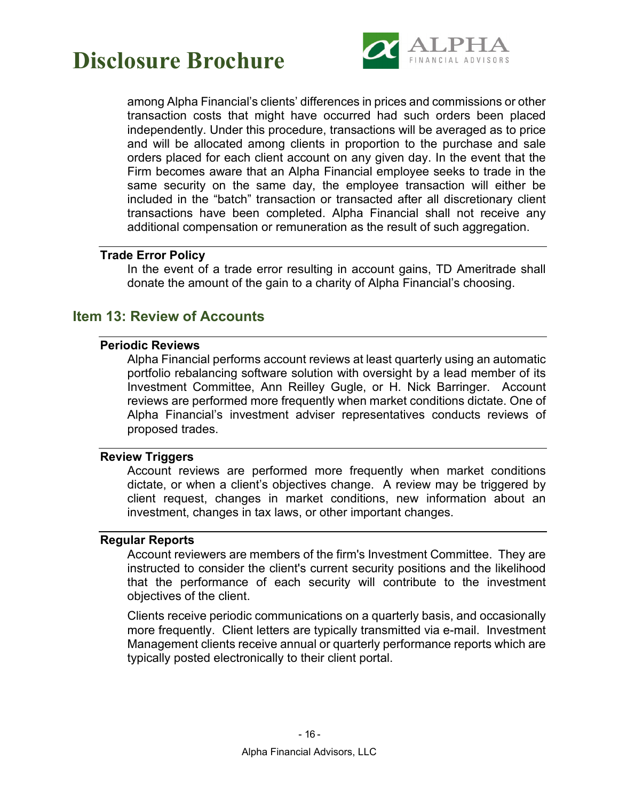

among Alpha Financial's clients' differences in prices and commissions or other transaction costs that might have occurred had such orders been placed independently. Under this procedure, transactions will be averaged as to price and will be allocated among clients in proportion to the purchase and sale orders placed for each client account on any given day. In the event that the Firm becomes aware that an Alpha Financial employee seeks to trade in the same security on the same day, the employee transaction will either be included in the "batch" transaction or transacted after all discretionary client transactions have been completed. Alpha Financial shall not receive any additional compensation or remuneration as the result of such aggregation.

#### <span id="page-20-0"></span>**Trade Error Policy**

In the event of a trade error resulting in account gains, TD Ameritrade shall donate the amount of the gain to a charity of Alpha Financial's choosing.

### <span id="page-20-2"></span><span id="page-20-1"></span>**Item 13: Review of Accounts**

#### **Periodic Reviews**

Alpha Financial performs account reviews at least quarterly using an automatic portfolio rebalancing software solution with oversight by a lead member of its Investment Committee, Ann Reilley Gugle, or H. Nick Barringer. Account reviews are performed more frequently when market conditions dictate. One of Alpha Financial's investment adviser representatives conducts reviews of proposed trades.

#### <span id="page-20-3"></span>**Review Triggers**

Account reviews are performed more frequently when market conditions dictate, or when a client's objectives change. A review may be triggered by client request, changes in market conditions, new information about an investment, changes in tax laws, or other important changes.

#### <span id="page-20-4"></span>**Regular Reports**

Account reviewers are members of the firm's Investment Committee. They are instructed to consider the client's current security positions and the likelihood that the performance of each security will contribute to the investment objectives of the client.

Clients receive periodic communications on a quarterly basis, and occasionally more frequently. Client letters are typically transmitted via e-mail. Investment Management clients receive annual or quarterly performance reports which are typically posted electronically to their client portal.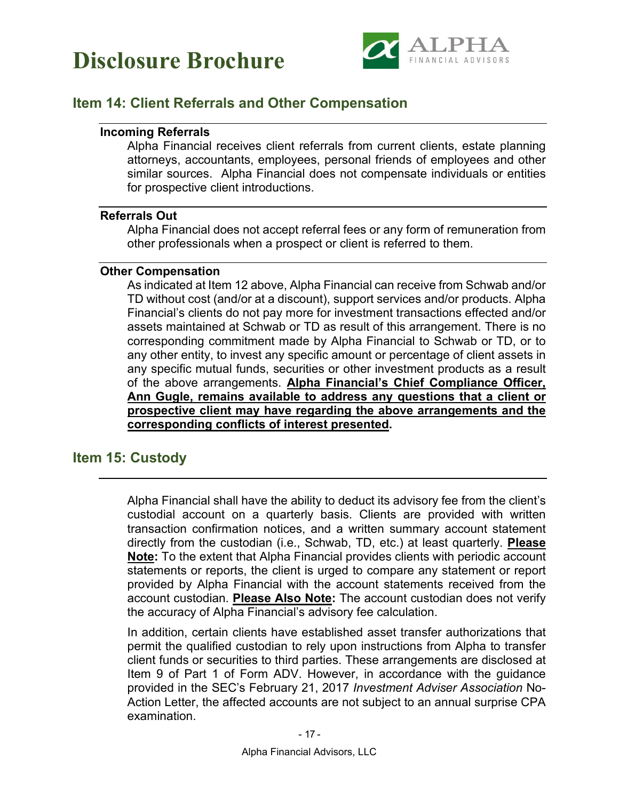



### <span id="page-21-1"></span><span id="page-21-0"></span>**Item 14: Client Referrals and Other Compensation**

#### **Incoming Referrals**

Alpha Financial receives client referrals from current clients, estate planning attorneys, accountants, employees, personal friends of employees and other similar sources. Alpha Financial does not compensate individuals or entities for prospective client introductions.

#### <span id="page-21-2"></span>**Referrals Out**

Alpha Financial does not accept referral fees or any form of remuneration from other professionals when a prospect or client is referred to them.

#### <span id="page-21-3"></span>**Other Compensation**

As indicated at Item 12 above, Alpha Financial can receive from Schwab and/or TD without cost (and/or at a discount), support services and/or products. Alpha Financial's clients do not pay more for investment transactions effected and/or assets maintained at Schwab or TD as result of this arrangement. There is no corresponding commitment made by Alpha Financial to Schwab or TD, or to any other entity, to invest any specific amount or percentage of client assets in any specific mutual funds, securities or other investment products as a result of the above arrangements. **Alpha Financial's Chief Compliance Officer, Ann Gugle, remains available to address any questions that a client or prospective client may have regarding the above arrangements and the corresponding conflicts of interest presented.**

### <span id="page-21-4"></span>**Item 15: Custody**

Alpha Financial shall have the ability to deduct its advisory fee from the client's custodial account on a quarterly basis. Clients are provided with written transaction confirmation notices, and a written summary account statement directly from the custodian (i.e., Schwab, TD, etc.) at least quarterly. **Please Note:** To the extent that Alpha Financial provides clients with periodic account statements or reports, the client is urged to compare any statement or report provided by Alpha Financial with the account statements received from the account custodian. **Please Also Note:** The account custodian does not verify the accuracy of Alpha Financial's advisory fee calculation.

In addition, certain clients have established asset transfer authorizations that permit the qualified custodian to rely upon instructions from Alpha to transfer client funds or securities to third parties. These arrangements are disclosed at Item 9 of Part 1 of Form ADV. However, in accordance with the guidance provided in the SEC's February 21, 2017 *Investment Adviser Association* No-Action Letter, the affected accounts are not subject to an annual surprise CPA examination.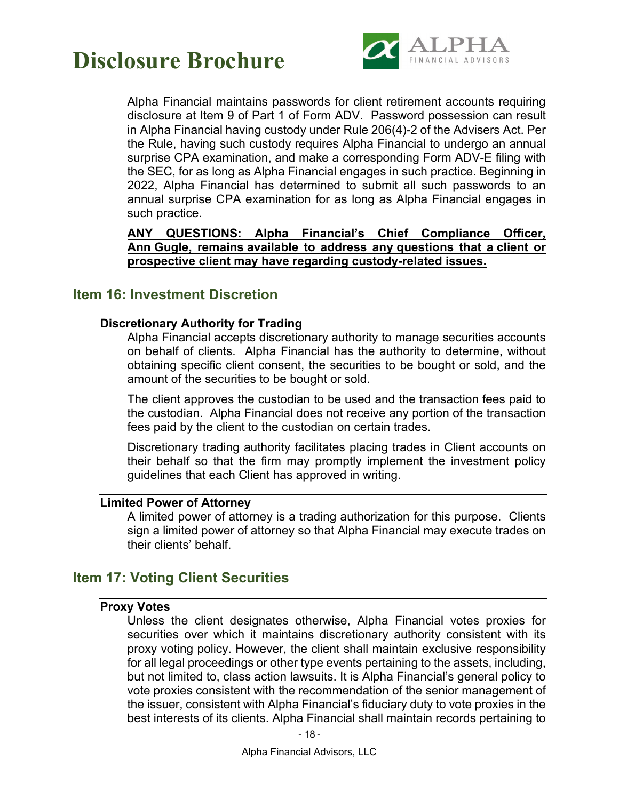

Alpha Financial maintains passwords for client retirement accounts requiring disclosure at Item 9 of Part 1 of Form ADV. Password possession can result in Alpha Financial having custody under Rule 206(4)-2 of the Advisers Act. Per the Rule, having such custody requires Alpha Financial to undergo an annual surprise CPA examination, and make a corresponding Form ADV-E filing with the SEC, for as long as Alpha Financial engages in such practice. Beginning in 2022, Alpha Financial has determined to submit all such passwords to an annual surprise CPA examination for as long as Alpha Financial engages in such practice.

**ANY QUESTIONS: Alpha Financial's Chief Compliance Officer, Ann Gugle, remains available to address any questions that a client or prospective client may have regarding custody-related issues.** 

### <span id="page-22-1"></span><span id="page-22-0"></span>**Item 16: Investment Discretion**

#### **Discretionary Authority for Trading**

Alpha Financial accepts discretionary authority to manage securities accounts on behalf of clients. Alpha Financial has the authority to determine, without obtaining specific client consent, the securities to be bought or sold, and the amount of the securities to be bought or sold.

The client approves the custodian to be used and the transaction fees paid to the custodian. Alpha Financial does not receive any portion of the transaction fees paid by the client to the custodian on certain trades.

Discretionary trading authority facilitates placing trades in Client accounts on their behalf so that the firm may promptly implement the investment policy guidelines that each Client has approved in writing.

#### <span id="page-22-2"></span>**Limited Power of Attorney**

A limited power of attorney is a trading authorization for this purpose. Clients sign a limited power of attorney so that Alpha Financial may execute trades on their clients' behalf.

### <span id="page-22-4"></span><span id="page-22-3"></span>**Item 17: Voting Client Securities**

#### **Proxy Votes**

Unless the client designates otherwise, Alpha Financial votes proxies for securities over which it maintains discretionary authority consistent with its proxy voting policy. However, the client shall maintain exclusive responsibility for all legal proceedings or other type events pertaining to the assets, including, but not limited to, class action lawsuits. It is Alpha Financial's general policy to vote proxies consistent with the recommendation of the senior management of the issuer, consistent with Alpha Financial's fiduciary duty to vote proxies in the best interests of its clients. Alpha Financial shall maintain records pertaining to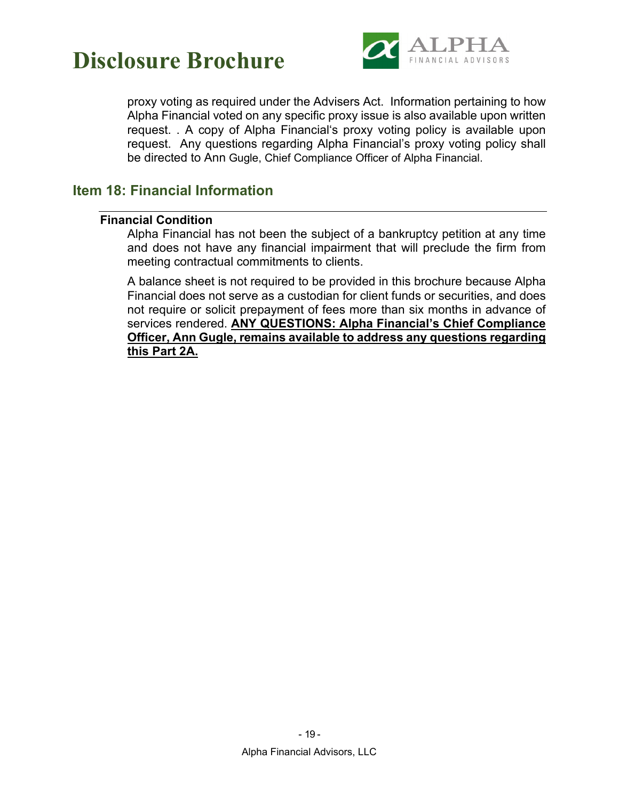

proxy voting as required under the Advisers Act. Information pertaining to how Alpha Financial voted on any specific proxy issue is also available upon written request. . A copy of Alpha Financial's proxy voting policy is available upon request. Any questions regarding Alpha Financial's proxy voting policy shall be directed to Ann Gugle, Chief Compliance Officer of Alpha Financial.

### <span id="page-23-1"></span><span id="page-23-0"></span>**Item 18: Financial Information**

#### **Financial Condition**

Alpha Financial has not been the subject of a bankruptcy petition at any time and does not have any financial impairment that will preclude the firm from meeting contractual commitments to clients.

A balance sheet is not required to be provided in this brochure because Alpha Financial does not serve as a custodian for client funds or securities, and does not require or solicit prepayment of fees more than six months in advance of services rendered. **ANY QUESTIONS: Alpha Financial's Chief Compliance Officer, Ann Gugle, remains available to address any questions regarding this Part 2A.**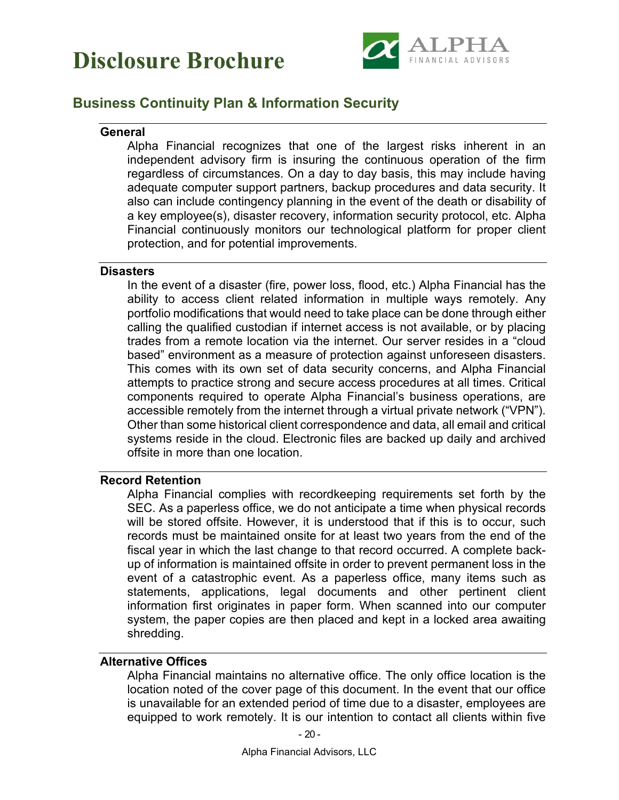



### <span id="page-24-1"></span><span id="page-24-0"></span>**Business Continuity Plan & Information Security**

#### **General**

Alpha Financial recognizes that one of the largest risks inherent in an independent advisory firm is insuring the continuous operation of the firm regardless of circumstances. On a day to day basis, this may include having adequate computer support partners, backup procedures and data security. It also can include contingency planning in the event of the death or disability of a key employee(s), disaster recovery, information security protocol, etc. Alpha Financial continuously monitors our technological platform for proper client protection, and for potential improvements.

#### <span id="page-24-2"></span>**Disasters**

In the event of a disaster (fire, power loss, flood, etc.) Alpha Financial has the ability to access client related information in multiple ways remotely. Any portfolio modifications that would need to take place can be done through either calling the qualified custodian if internet access is not available, or by placing trades from a remote location via the internet. Our server resides in a "cloud based" environment as a measure of protection against unforeseen disasters. This comes with its own set of data security concerns, and Alpha Financial attempts to practice strong and secure access procedures at all times. Critical components required to operate Alpha Financial's business operations, are accessible remotely from the internet through a virtual private network ("VPN"). Other than some historical client correspondence and data, all email and critical systems reside in the cloud. Electronic files are backed up daily and archived offsite in more than one location.

#### <span id="page-24-3"></span>**Record Retention**

Alpha Financial complies with recordkeeping requirements set forth by the SEC. As a paperless office, we do not anticipate a time when physical records will be stored offsite. However, it is understood that if this is to occur, such records must be maintained onsite for at least two years from the end of the fiscal year in which the last change to that record occurred. A complete backup of information is maintained offsite in order to prevent permanent loss in the event of a catastrophic event. As a paperless office, many items such as statements, applications, legal documents and other pertinent client information first originates in paper form. When scanned into our computer system, the paper copies are then placed and kept in a locked area awaiting shredding.

#### <span id="page-24-4"></span>**Alternative Offices**

Alpha Financial maintains no alternative office. The only office location is the location noted of the cover page of this document. In the event that our office is unavailable for an extended period of time due to a disaster, employees are equipped to work remotely. It is our intention to contact all clients within five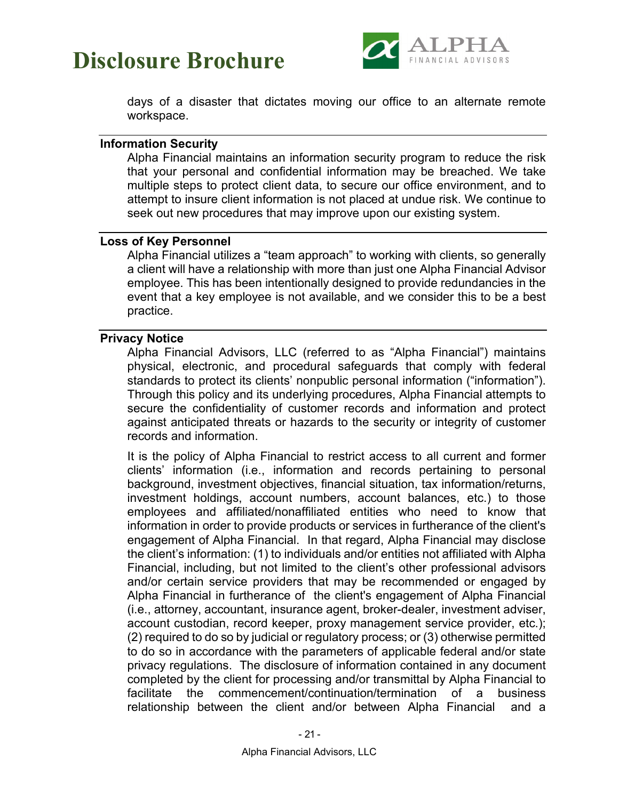

days of a disaster that dictates moving our office to an alternate remote workspace.

#### <span id="page-25-0"></span>**Information Security**

Alpha Financial maintains an information security program to reduce the risk that your personal and confidential information may be breached. We take multiple steps to protect client data, to secure our office environment, and to attempt to insure client information is not placed at undue risk. We continue to seek out new procedures that may improve upon our existing system.

#### <span id="page-25-1"></span>**Loss of Key Personnel**

Alpha Financial utilizes a "team approach" to working with clients, so generally a client will have a relationship with more than just one Alpha Financial Advisor employee. This has been intentionally designed to provide redundancies in the event that a key employee is not available, and we consider this to be a best practice.

#### <span id="page-25-2"></span>**Privacy Notice**

Alpha Financial Advisors, LLC (referred to as "Alpha Financial") maintains physical, electronic, and procedural safeguards that comply with federal standards to protect its clients' nonpublic personal information ("information"). Through this policy and its underlying procedures, Alpha Financial attempts to secure the confidentiality of customer records and information and protect against anticipated threats or hazards to the security or integrity of customer records and information.

It is the policy of Alpha Financial to restrict access to all current and former clients' information (i.e., information and records pertaining to personal background, investment objectives, financial situation, tax information/returns, investment holdings, account numbers, account balances, etc.) to those employees and affiliated/nonaffiliated entities who need to know that information in order to provide products or services in furtherance of the client's engagement of Alpha Financial. In that regard, Alpha Financial may disclose the client's information: (1) to individuals and/or entities not affiliated with Alpha Financial, including, but not limited to the client's other professional advisors and/or certain service providers that may be recommended or engaged by Alpha Financial in furtherance of the client's engagement of Alpha Financial (i.e., attorney, accountant, insurance agent, broker-dealer, investment adviser, account custodian, record keeper, proxy management service provider, etc.); (2) required to do so by judicial or regulatory process; or (3) otherwise permitted to do so in accordance with the parameters of applicable federal and/or state privacy regulations. The disclosure of information contained in any document completed by the client for processing and/or transmittal by Alpha Financial to facilitate the commencement/continuation/termination of a business relationship between the client and/or between Alpha Financial and a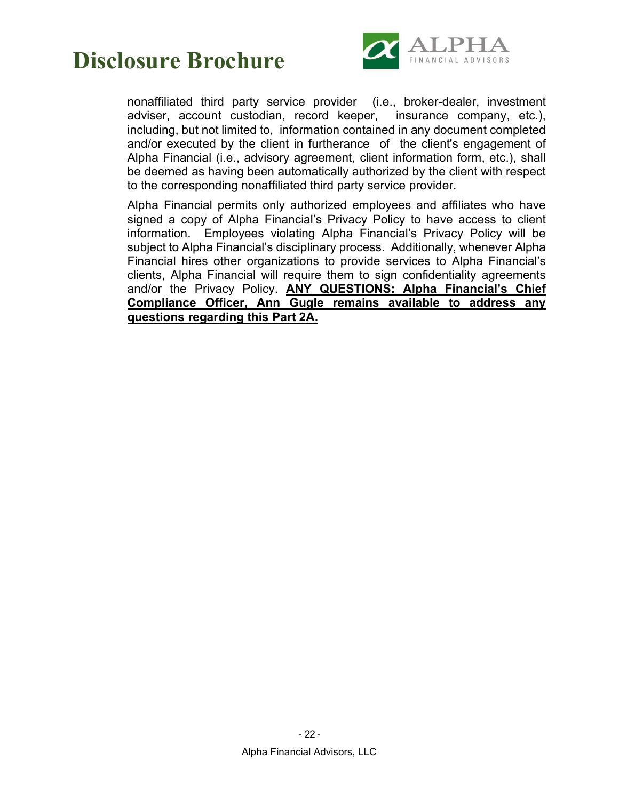

nonaffiliated third party service provider (i.e., broker-dealer, investment adviser, account custodian, record keeper, insurance company, etc.), including, but not limited to, information contained in any document completed and/or executed by the client in furtherance of the client's engagement of Alpha Financial (i.e., advisory agreement, client information form, etc.), shall be deemed as having been automatically authorized by the client with respect to the corresponding nonaffiliated third party service provider.

Alpha Financial permits only authorized employees and affiliates who have signed a copy of Alpha Financial's Privacy Policy to have access to client information. Employees violating Alpha Financial's Privacy Policy will be subject to Alpha Financial's disciplinary process. Additionally, whenever Alpha Financial hires other organizations to provide services to Alpha Financial's clients, Alpha Financial will require them to sign confidentiality agreements and/or the Privacy Policy. **ANY QUESTIONS: Alpha Financial's Chief Compliance Officer, Ann Gugle remains available to address any questions regarding this Part 2A.**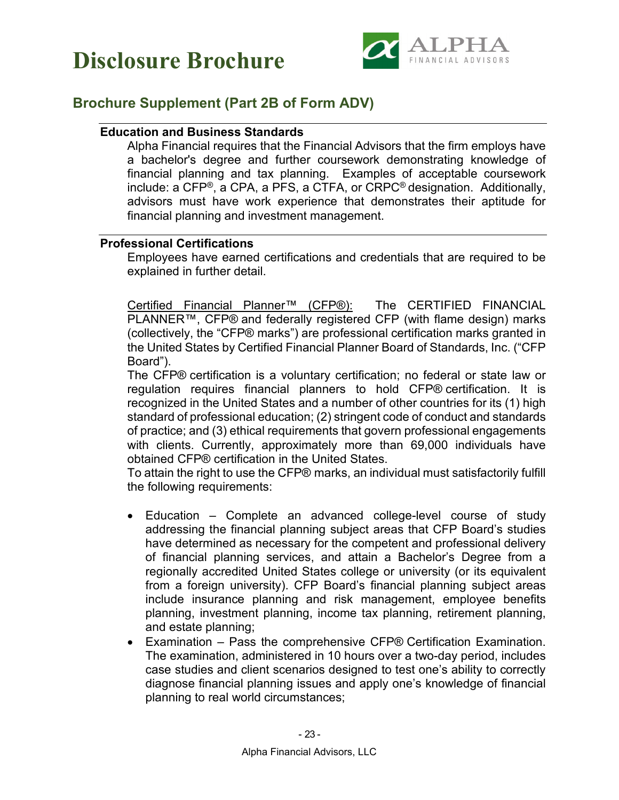



### <span id="page-27-1"></span><span id="page-27-0"></span>**Brochure Supplement (Part 2B of Form ADV)**

#### **Education and Business Standards**

Alpha Financial requires that the Financial Advisors that the firm employs have a bachelor's degree and further coursework demonstrating knowledge of financial planning and tax planning. Examples of acceptable coursework include: a CFP®, a CPA, a PFS, a CTFA, or CRPC® designation. Additionally, advisors must have work experience that demonstrates their aptitude for financial planning and investment management.

#### <span id="page-27-2"></span>**Professional Certifications**

Employees have earned certifications and credentials that are required to be explained in further detail.

Certified Financial Planner™ (CFP®): The CERTIFIED FINANCIAL PLANNER™, CFP® and federally registered CFP (with flame design) marks (collectively, the "CFP® marks") are professional certification marks granted in the United States by Certified Financial Planner Board of Standards, Inc. ("CFP Board").

The CFP® certification is a voluntary certification; no federal or state law or regulation requires financial planners to hold CFP® certification. It is recognized in the United States and a number of other countries for its (1) high standard of professional education; (2) stringent code of conduct and standards of practice; and (3) ethical requirements that govern professional engagements with clients. Currently, approximately more than 69,000 individuals have obtained CFP® certification in the United States.

To attain the right to use the CFP® marks, an individual must satisfactorily fulfill the following requirements:

- Education Complete an advanced college-level course of study addressing the financial planning subject areas that CFP Board's studies have determined as necessary for the competent and professional delivery of financial planning services, and attain a Bachelor's Degree from a regionally accredited United States college or university (or its equivalent from a foreign university). CFP Board's financial planning subject areas include insurance planning and risk management, employee benefits planning, investment planning, income tax planning, retirement planning, and estate planning;
- Examination Pass the comprehensive CFP® Certification Examination. The examination, administered in 10 hours over a two-day period, includes case studies and client scenarios designed to test one's ability to correctly diagnose financial planning issues and apply one's knowledge of financial planning to real world circumstances;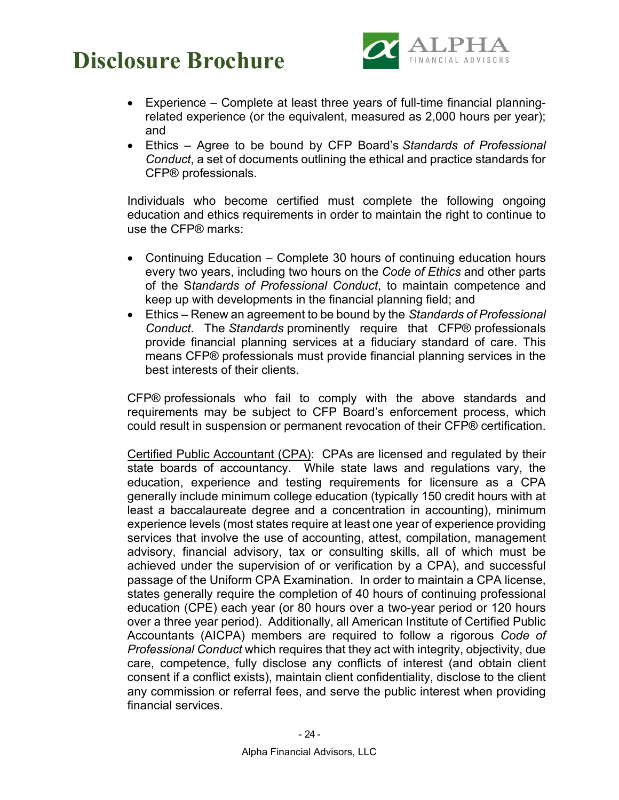

- Experience Complete at least three years of full-time financial planningrelated experience (or the equivalent, measured as 2,000 hours per year); and
- Ethics Agree to be bound by CFP Board's *Standards of Professional Conduct*, a set of documents outlining the ethical and practice standards for CFP® professionals.

Individuals who become certified must complete the following ongoing education and ethics requirements in order to maintain the right to continue to use the CFP® marks:

- Continuing Education Complete 30 hours of continuing education hours every two years, including two hours on the *Code of Ethics* and other parts of the S*tandards of Professional Conduct*, to maintain competence and keep up with developments in the financial planning field; and
- Ethics Renew an agreement to be bound by the *Standards of Professional Conduct*. The *Standards* prominently require that CFP® professionals provide financial planning services at a fiduciary standard of care. This means CFP® professionals must provide financial planning services in the best interests of their clients.

CFP® professionals who fail to comply with the above standards and requirements may be subject to CFP Board's enforcement process, which could result in suspension or permanent revocation of their CFP® certification.

Certified Public Accountant (CPA): CPAs are licensed and regulated by their state boards of accountancy. While state laws and regulations vary, the education, experience and testing requirements for licensure as a CPA generally include minimum college education (typically 150 credit hours with at least a baccalaureate degree and a concentration in accounting), minimum experience levels (most states require at least one year of experience providing services that involve the use of accounting, attest, compilation, management advisory, financial advisory, tax or consulting skills, all of which must be achieved under the supervision of or verification by a CPA), and successful passage of the Uniform CPA Examination. In order to maintain a CPA license, states generally require the completion of 40 hours of continuing professional education (CPE) each year (or 80 hours over a two-year period or 120 hours over a three year period). Additionally, all American Institute of Certified Public Accountants (AICPA) members are required to follow a rigorous *Code of Professional Conduct* which requires that they act with integrity, objectivity, due care, competence, fully disclose any conflicts of interest (and obtain client consent if a conflict exists), maintain client confidentiality, disclose to the client any commission or referral fees, and serve the public interest when providing financial services.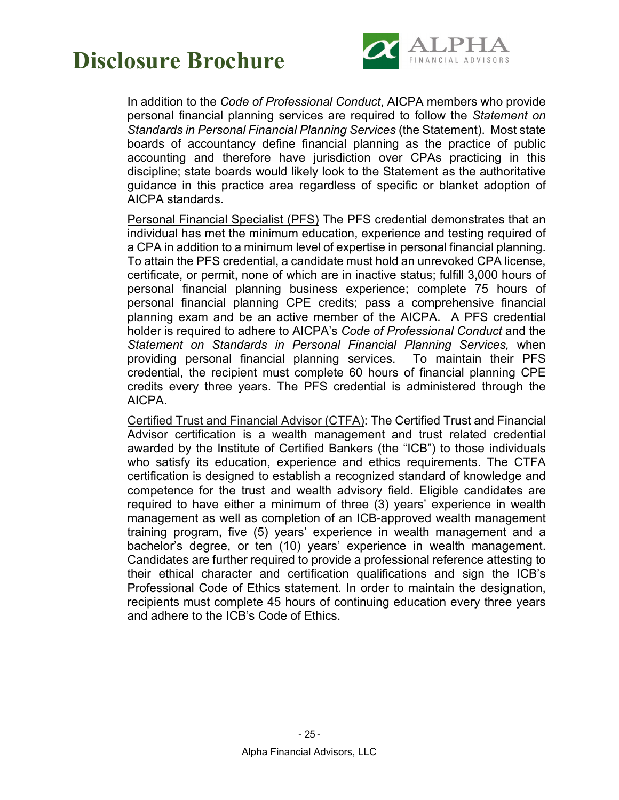

In addition to the *Code of Professional Conduct*, AICPA members who provide personal financial planning services are required to follow the *Statement on Standards in Personal Financial Planning Services* (the Statement). Most state boards of accountancy define financial planning as the practice of public accounting and therefore have jurisdiction over CPAs practicing in this discipline; state boards would likely look to the Statement as the authoritative guidance in this practice area regardless of specific or blanket adoption of AICPA standards.

Personal Financial Specialist (PFS) The PFS credential demonstrates that an individual has met the minimum education, experience and testing required of a CPA in addition to a minimum level of expertise in personal financial planning. To attain the PFS credential, a candidate must hold an unrevoked CPA license, certificate, or permit, none of which are in inactive status; fulfill 3,000 hours of personal financial planning business experience; complete 75 hours of personal financial planning CPE credits; pass a comprehensive financial planning exam and be an active member of the AICPA. A PFS credential holder is required to adhere to AICPA's *Code of Professional Conduct* and the *Statement on Standards in Personal Financial Planning Services,* when providing personal financial planning services. To maintain their PFS credential, the recipient must complete 60 hours of financial planning CPE credits every three years. The PFS credential is administered through the AICPA.

Certified Trust and Financial Advisor (CTFA): The Certified Trust and Financial Advisor certification is a wealth management and trust related credential awarded by the Institute of Certified Bankers (the "ICB") to those individuals who satisfy its education, experience and ethics requirements. The CTFA certification is designed to establish a recognized standard of knowledge and competence for the trust and wealth advisory field. Eligible candidates are required to have either a minimum of three (3) years' experience in wealth management as well as completion of an ICB-approved wealth management training program, five (5) years' experience in wealth management and a bachelor's degree, or ten (10) years' experience in wealth management. Candidates are further required to provide a professional reference attesting to their ethical character and certification qualifications and sign the ICB's Professional Code of Ethics statement. In order to maintain the designation, recipients must complete 45 hours of continuing education every three years and adhere to the ICB's Code of Ethics.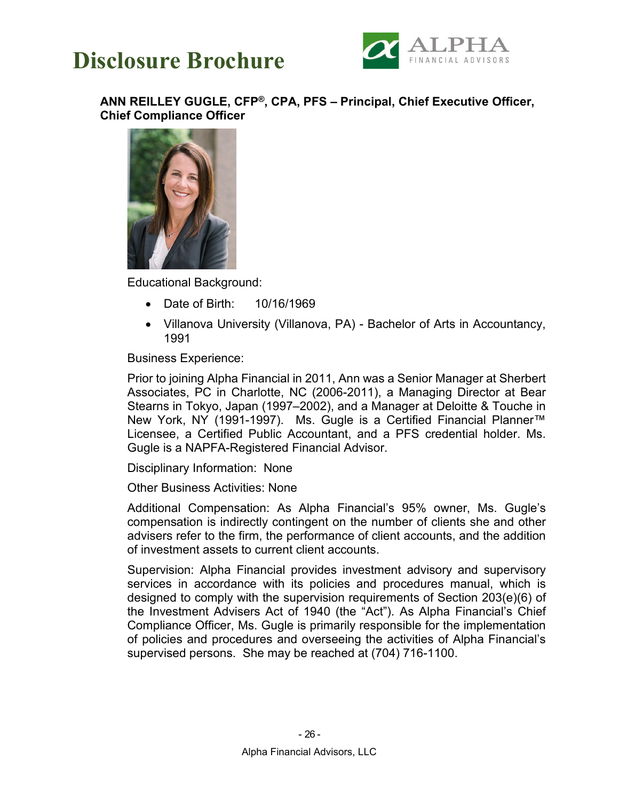



<span id="page-30-0"></span>**ANN REILLEY GUGLE, CFP®, CPA, PFS – Principal, Chief Executive Officer, Chief Compliance Officer**



Educational Background:

- Date of Birth: 10/16/1969
- Villanova University (Villanova, PA) Bachelor of Arts in Accountancy, 1991

Business Experience:

Prior to joining Alpha Financial in 2011, Ann was a Senior Manager at Sherbert Associates, PC in Charlotte, NC (2006-2011), a Managing Director at Bear Stearns in Tokyo, Japan (1997–2002), and a Manager at Deloitte & Touche in New York, NY (1991-1997). Ms. Gugle is a Certified Financial Planner™ Licensee, a Certified Public Accountant, and a PFS credential holder. Ms. Gugle is a NAPFA-Registered Financial Advisor.

Disciplinary Information: None

Other Business Activities: None

Additional Compensation: As Alpha Financial's 95% owner, Ms. Gugle's compensation is indirectly contingent on the number of clients she and other advisers refer to the firm, the performance of client accounts, and the addition of investment assets to current client accounts.

Supervision: Alpha Financial provides investment advisory and supervisory services in accordance with its policies and procedures manual, which is designed to comply with the supervision requirements of Section 203(e)(6) of the Investment Advisers Act of 1940 (the "Act"). As Alpha Financial's Chief Compliance Officer, Ms. Gugle is primarily responsible for the implementation of policies and procedures and overseeing the activities of Alpha Financial's supervised persons. She may be reached at (704) 716-1100.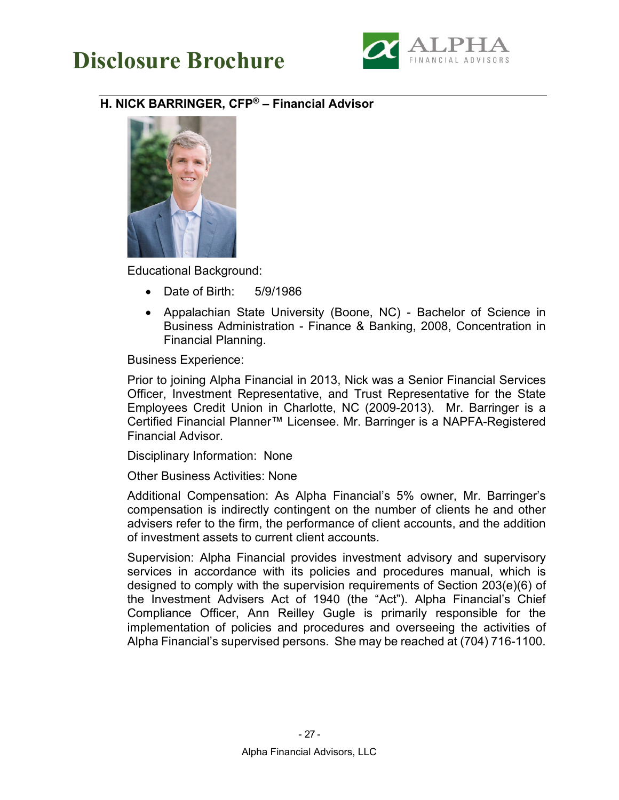

### <span id="page-31-0"></span>**H. NICK BARRINGER, CFP® – Financial Advisor**



Educational Background:

- Date of Birth: 5/9/1986
- Appalachian State University (Boone, NC) Bachelor of Science in Business Administration - Finance & Banking, 2008, Concentration in Financial Planning.

Business Experience:

Prior to joining Alpha Financial in 2013, Nick was a Senior Financial Services Officer, Investment Representative, and Trust Representative for the State Employees Credit Union in Charlotte, NC (2009-2013). Mr. Barringer is a Certified Financial Planner™ Licensee. Mr. Barringer is a NAPFA-Registered Financial Advisor.

Disciplinary Information: None

Other Business Activities: None

Additional Compensation: As Alpha Financial's 5% owner, Mr. Barringer's compensation is indirectly contingent on the number of clients he and other advisers refer to the firm, the performance of client accounts, and the addition of investment assets to current client accounts.

Supervision: Alpha Financial provides investment advisory and supervisory services in accordance with its policies and procedures manual, which is designed to comply with the supervision requirements of Section 203(e)(6) of the Investment Advisers Act of 1940 (the "Act"). Alpha Financial's Chief Compliance Officer, Ann Reilley Gugle is primarily responsible for the implementation of policies and procedures and overseeing the activities of Alpha Financial's supervised persons. She may be reached at (704) 716-1100.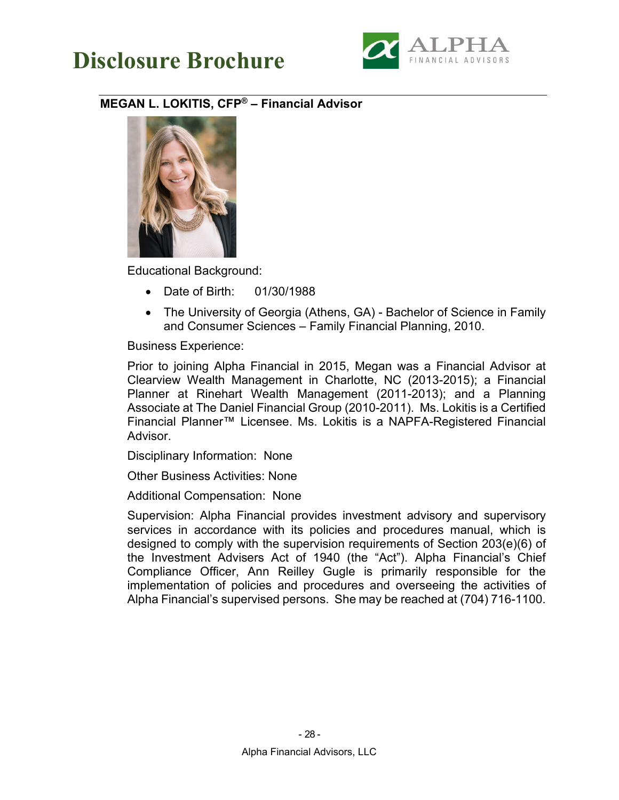

### <span id="page-32-0"></span>**MEGAN L. LOKITIS, CFP® – Financial Advisor**



Educational Background:

- Date of Birth: 01/30/1988
- The University of Georgia (Athens, GA) Bachelor of Science in Family and Consumer Sciences – Family Financial Planning, 2010.

Business Experience:

Prior to joining Alpha Financial in 2015, Megan was a Financial Advisor at Clearview Wealth Management in Charlotte, NC (2013-2015); a Financial Planner at Rinehart Wealth Management (2011-2013); and a Planning Associate at The Daniel Financial Group (2010-2011). Ms. Lokitis is a Certified Financial Planner™ Licensee. Ms. Lokitis is a NAPFA-Registered Financial Advisor.

Disciplinary Information: None

Other Business Activities: None

Additional Compensation: None

Supervision: Alpha Financial provides investment advisory and supervisory services in accordance with its policies and procedures manual, which is designed to comply with the supervision requirements of Section 203(e)(6) of the Investment Advisers Act of 1940 (the "Act"). Alpha Financial's Chief Compliance Officer, Ann Reilley Gugle is primarily responsible for the implementation of policies and procedures and overseeing the activities of Alpha Financial's supervised persons. She may be reached at (704) 716-1100.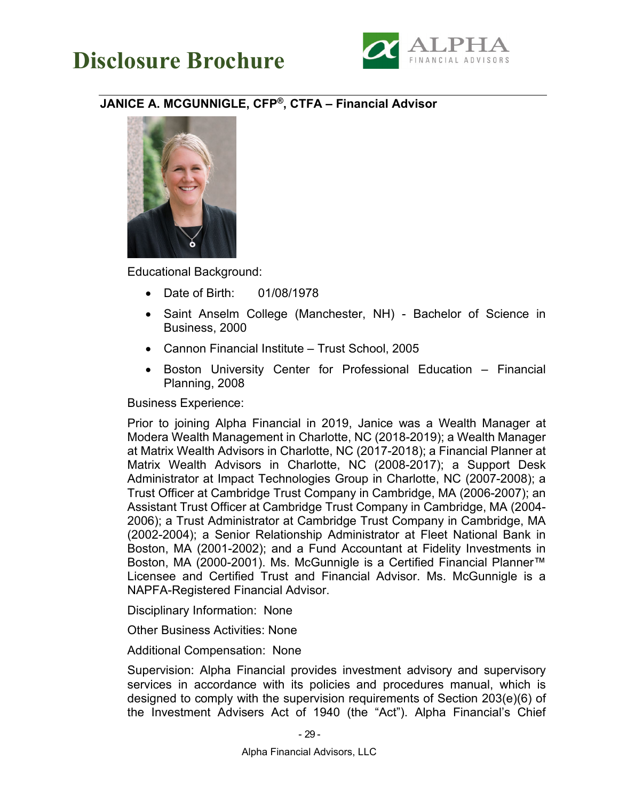



#### <span id="page-33-0"></span>**JANICE A. MCGUNNIGLE, CFP®, CTFA – Financial Advisor**



Educational Background:

- Date of Birth: 01/08/1978
- Saint Anselm College (Manchester, NH) Bachelor of Science in Business, 2000
- Cannon Financial Institute Trust School, 2005
- Boston University Center for Professional Education Financial Planning, 2008

Business Experience:

Prior to joining Alpha Financial in 2019, Janice was a Wealth Manager at Modera Wealth Management in Charlotte, NC (2018-2019); a Wealth Manager at Matrix Wealth Advisors in Charlotte, NC (2017-2018); a Financial Planner at Matrix Wealth Advisors in Charlotte, NC (2008-2017); a Support Desk Administrator at Impact Technologies Group in Charlotte, NC (2007-2008); a Trust Officer at Cambridge Trust Company in Cambridge, MA (2006-2007); an Assistant Trust Officer at Cambridge Trust Company in Cambridge, MA (2004- 2006); a Trust Administrator at Cambridge Trust Company in Cambridge, MA (2002-2004); a Senior Relationship Administrator at Fleet National Bank in Boston, MA (2001-2002); and a Fund Accountant at Fidelity Investments in Boston, MA (2000-2001). Ms. McGunnigle is a Certified Financial Planner™ Licensee and Certified Trust and Financial Advisor. Ms. McGunnigle is a NAPFA-Registered Financial Advisor.

Disciplinary Information: None

Other Business Activities: None

Additional Compensation: None

Supervision: Alpha Financial provides investment advisory and supervisory services in accordance with its policies and procedures manual, which is designed to comply with the supervision requirements of Section 203(e)(6) of the Investment Advisers Act of 1940 (the "Act"). Alpha Financial's Chief